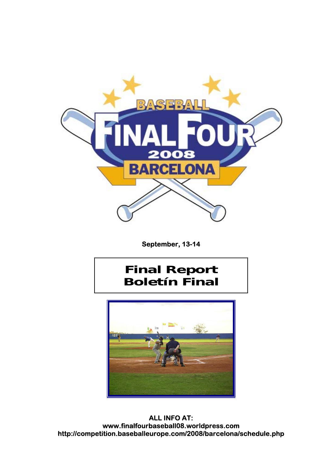

 **September, 13-14** 

### **Final Report Boletín Final**



**ALL INFO AT: www.finalfourbaseball08.worldpress.com http://competition.baseballeurope.com/2008/barcelona/schedule.php**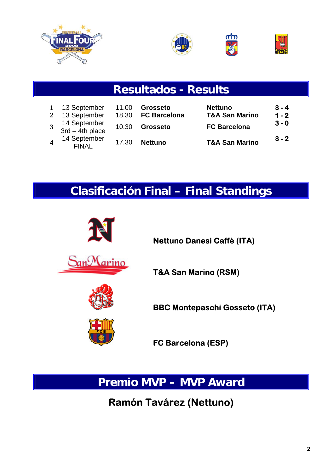





|                         |                                                                 |                         | <b>Resultados - Results</b>                        |                                                                    |                               |
|-------------------------|-----------------------------------------------------------------|-------------------------|----------------------------------------------------|--------------------------------------------------------------------|-------------------------------|
| $\mathbf{2}$            | 13 September<br>13 September<br>14 September<br>3rd – 4th place | 11.00<br>18.30<br>10.30 | <b>Grosseto</b><br><b>FC Barcelona</b><br>Grosseto | <b>Nettuno</b><br><b>T&amp;A San Marino</b><br><b>FC Barcelona</b> | $3 - 4$<br>$1 - 2$<br>$3 - 0$ |
| $\overline{\mathbf{4}}$ | 14 September<br><b>FINAL</b>                                    | 17.30                   | <b>Nettuno</b>                                     | <b>T&amp;A San Marino</b>                                          | $3 - 2$                       |

### **Clasificación Final – Final Standings**



**Premio MVP – MVP Award**

### **Ramón Tavárez (Nettuno)**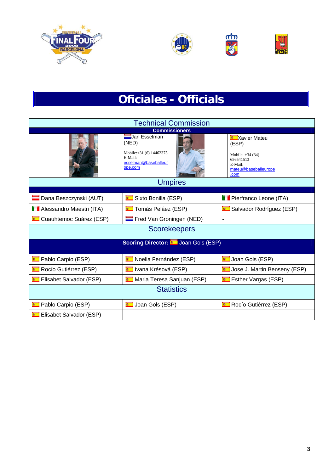







# **Oficiales - Officials**

|                                | <b>Technical Commission</b>                                                                    |                                                                                                           |
|--------------------------------|------------------------------------------------------------------------------------------------|-----------------------------------------------------------------------------------------------------------|
|                                | <b>Commissioners</b>                                                                           |                                                                                                           |
|                                | Uan Esselman<br>(NED)<br>Mobile:+31 (6) 14462375<br>E-Mail:<br>esselman@baseballeur<br>ope.com | <b>Xavier Mateu</b><br>(ESP)<br>Mobile: $+34(34)$<br>656541513<br>E-Mail:<br>mateu@baseballeurope<br>.com |
|                                | <b>Umpires</b>                                                                                 |                                                                                                           |
|                                |                                                                                                |                                                                                                           |
| Dana Beszczynski (AUT)         | Sixto Bonilla (ESP)                                                                            | <b>Pierfranco Leone (ITA)</b>                                                                             |
| Alessandro Maestri (ITA)       | <b>E</b> Tomás Peláez (ESP)                                                                    | Salvador Rodríguez (ESP)                                                                                  |
| <b>Cuauhtemoc Suárez (ESP)</b> | Fred Van Groningen (NED)                                                                       |                                                                                                           |
|                                | <b>Scorekeepers</b>                                                                            |                                                                                                           |
|                                | <b>Scoring Director: Cold Good Gols (ESP)</b>                                                  |                                                                                                           |
| <b>Pablo Carpio (ESP)</b>      | Noelia Fernández (ESP)                                                                         | Joan Gols (ESP)                                                                                           |
| Rocío Gutiérrez (ESP)          | <b>E</b> Ivana Krésová (ESP)                                                                   | <b>E</b> Jose J. Martin Benseny (ESP)                                                                     |
| <b>Elisabet Salvador (ESP)</b> | Maria Teresa Sanjuan (ESP)                                                                     | <b>Extract Vargas (ESP)</b>                                                                               |
|                                | <b>Statistics</b>                                                                              |                                                                                                           |
| <b>DED</b> Pablo Carpio (ESP)  | <b>Command</b> Joan Gols (ESP)                                                                 | Rocío Gutiérrez (ESP)                                                                                     |
| Elisabet Salvador (ESP)        |                                                                                                |                                                                                                           |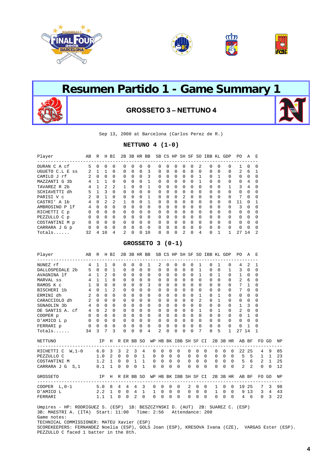





Sep 13, 2008 at Barcelona (Carlos Perez de R.)

#### **NETTUNO 4 (1-0)**

| Player             | AB           | R            | Н              | ВI             | 2B             |              |              | 3B HR BB     |              |              |              | SB CS HP SH SF SO |          |          | IBB KL   |              | GDP          | PO.           | A        | E              |
|--------------------|--------------|--------------|----------------|----------------|----------------|--------------|--------------|--------------|--------------|--------------|--------------|-------------------|----------|----------|----------|--------------|--------------|---------------|----------|----------------|
| DURAN C A cf       | 5            | $\Omega$     | 0              | $\Omega$       | 0              | $\Omega$     | $\Omega$     | <sup>0</sup> | <sup>0</sup> | $\Omega$     | 0            | 0                 | $\Omega$ | 2        | 0        | 0            | 0            |               | $\Omega$ | $\Omega$       |
| UGUETO C.L E<br>SS | 2            |              |                | $\Omega$       | $\Omega$       | $\Omega$     | $\Omega$     | 3            | $\Omega$     | $\Omega$     | $\Omega$     | $\Omega$          | $\Omega$ | $\Omega$ | $\Omega$ | 0            | $\Omega$     | $\mathcal{L}$ | 6        |                |
| CAMILO J rf        |              | $\Omega$     | $\Omega$       | $\Omega$       | $\Omega$       | $\Omega$     | $\Omega$     | 3            | $\Omega$     | $\Omega$     | $\Omega$     | $\Omega$          | $\Omega$ |          | $\Omega$ |              | $\Omega$     | $\Omega$      | $\Omega$ | $\Omega$       |
| MAZZANTI G 3b      | 4            |              |                | $\Omega$       | $\Omega$       | $\Omega$     | $\Omega$     |              | $\Omega$     | $\Omega$     | $\Omega$     | $\Omega$          | $\Omega$ |          | 0        | $\Omega$     | $\Omega$     | $\Omega$      | 4        | $\Omega$       |
| TAVAREZ R 2b       | 4            |              | 2              | 2              | 1              | <sup>n</sup> | $\Omega$     |              | $\Omega$     | $\Omega$     | <sup>0</sup> | 0                 | $\Omega$ | $\Omega$ | 0        | 0            |              | 3             | 4        | $\Omega$       |
| SCHIAVETTI dh      | 5            |              | ζ              | $\Omega$       | $\Omega$       | $\Omega$     | $\Omega$     | $\Omega$     | $\Omega$     | $\Omega$     | $\Omega$     | $\Omega$          | $\Omega$ | $\Omega$ | $\Omega$ | $\Omega$     | $\Omega$     | $\Omega$      | $\Omega$ | $\Omega$       |
| PARISI V c         |              | $\Omega$     |                | $\Omega$       | $\Omega$       | $\Omega$     | $\Omega$     |              | $\Omega$     | $\Omega$     | $\Omega$     | $\overline{2}$    | $\Omega$ | $\Omega$ | $\Omega$ | $\Omega$     | $\Omega$     | 7             | $\Omega$ | $\Omega$       |
| CASTRI' A 1b       | 4            | U            | 2              | $\mathfrak{D}$ | 1              | <sup>n</sup> | <sup>0</sup> | 1            | <sup>0</sup> | <sup>0</sup> | <sup>0</sup> | $\Omega$          | $\cap$   | $\Omega$ | $\Omega$ | O            | <sup>0</sup> | 11            | $\cap$   |                |
| AMBROSINO P 1f     | 4            | <sup>0</sup> | $\Omega$       | $\Omega$       | $\Omega$       | $\Omega$     | $\Omega$     | $\Omega$     | $\Omega$     | $\Omega$     | $\Omega$     | $\Omega$          | $\Omega$ | $\Omega$ | $\Omega$ | $\Omega$     | $\Omega$     | 3             | $\Omega$ | $\cap$         |
| RICHETTI C p       | <sup>0</sup> | $\Omega$     | $\Omega$       | $\Omega$       | $\Omega$       | $\Omega$     | $\Omega$     | $\Omega$     | $\Omega$     | $\Omega$     | $\Omega$     | $\Omega$          | $\Omega$ | $\Omega$ | $\Omega$ | $\Omega$     | $\Omega$     | $\Omega$      | $\Omega$ | $\Omega$       |
| PEZZULLO C p       | <sup>0</sup> | <sup>0</sup> | $\Omega$       | $\Omega$       | <sup>0</sup>   | $\cap$       | $\Omega$     | $\Omega$     | <sup>0</sup> | $\Omega$     | <sup>0</sup> | <sup>0</sup>      | $\Omega$ | $\Omega$ | $\Omega$ | O            | $\Omega$     | $\Omega$      | $\Omega$ | $\Omega$       |
| COSTANTINI M p     | <sup>0</sup> | $\Omega$     | $\Omega$       | $\Omega$       | $\Omega$       | $\Omega$     | $\Omega$     | $\Omega$     | $\Omega$     | $\Omega$     | <sup>0</sup> | $\Omega$          | $\Omega$ | $\Omega$ | $\Omega$ | <sup>0</sup> | $\Omega$     | $\Omega$      | $\Omega$ | $\Omega$       |
| CARRARA J G p      | $\Omega$     | <sup>0</sup> | $\Omega$       | $\Omega$       | <sup>0</sup>   | $\Omega$     | $\Omega$     | $\Omega$     | $\Omega$     | $\Omega$     | $\Omega$     | $\Omega$          | $\Omega$ | $\Omega$ | $\Omega$ | <sup>0</sup> | $\Omega$     | $\Omega$      | $\Omega$ | $\Omega$       |
| $Totals$           | 32           | 4            | 1 <sub>0</sub> | 4              | $\mathfrak{D}$ | $\cap$       | O            | 10           | <sup>0</sup> | <sup>0</sup> | $\Omega$     | $\mathfrak{D}$    | U        | 4        | U        |              |              | 27            | 14       | $\mathfrak{D}$ |

#### **GROSSETO 3 (0-1)**

| Player                                                                        | AB R H BI       |                     |                 |                |          |             |                     |                | 2B 3B HR BB SB CS HP SH SF SO IBB KL GDP                   |                |                          |                |                |                |                |                       |              |              |              |          | PO              | AE           |                                     |                |    |
|-------------------------------------------------------------------------------|-----------------|---------------------|-----------------|----------------|----------|-------------|---------------------|----------------|------------------------------------------------------------|----------------|--------------------------|----------------|----------------|----------------|----------------|-----------------------|--------------|--------------|--------------|----------|-----------------|--------------|-------------------------------------|----------------|----|
| NUNEZ rf                                                                      | 4               | 1                   | $\mathbf{1}$    | 0              |          | $\Omega$    | $\Omega$            | 0              | 1                                                          | 2              | 0                        | 0              | $\Omega$       | $\Omega$       | 1              |                       | 0            | $\mathbf{1}$ | 0            |          | 4               | 2            | 1                                   |                |    |
| DALLOSPEDALE 2b                                                               | $5 -$           | $\Omega$            | $\Omega$        | $\mathbf{1}$   |          | $\Omega$    | $\Omega$            | $\Omega$       | $\Omega$                                                   | $\Omega$       | $\Omega$                 | $\Omega$       | $\Omega$       | $\Omega$       | $\mathbf{1}$   |                       | 0            | $\Omega$     | $\mathbf{1}$ |          | 3               | $\Omega$     | $\Omega$                            |                |    |
| AVAGNINA 1f                                                                   | $\overline{4}$  | -1                  | 2               | $\Omega$       |          | $\Omega$    | $\Omega$            | 0              | $\Omega$                                                   | $\Omega$       | $\Omega$                 | $\Omega$       | $\Omega$       | $\Omega$       |                | $\mathbf{1}$          | 0            | 1            | $\Omega$     |          | $\mathbf{1}$    | $\Omega$     | $\Omega$                            |                |    |
| MARVAL ss                                                                     |                 | 4 1                 | $\mathbf{1}$    | $\Omega$       |          | $\Omega$    | $\Omega$            | $\Omega$       | 0                                                          | $\Omega$       | $\Omega$                 | $\Omega$       | $\Omega$       | $\Omega$       |                | $\Omega$              | 0            | $\Omega$     | $\Omega$     |          | $\overline{a}$  | 6            | $\Omega$                            |                |    |
| RAMOS K c                                                                     | $\mathbf{1}$    | $\Omega$            | $\Omega$        | $\Omega$       |          | $\Omega$    | $\Omega$            | 0              | 3                                                          | $\Omega$       | $\Omega$                 | $\Omega$       | $\Omega$       | $\Omega$       |                | $\Omega$              | <sup>0</sup> | $\cap$       | $\Omega$     |          | 7               | $\mathbf{1}$ | $\Omega$                            |                |    |
| BISCHERI 1b                                                                   | $4\overline{ }$ | $\Omega$            | $\mathbf{1}$    | $\overline{2}$ |          | $\Omega$    | $\Omega$            | 0              | $\mathbf 0$                                                | 0              | $\Omega$                 | $\Omega$       | 0              | $\Omega$       |                | $\Omega$              | 0            | $\Omega$     | 0            |          | 7               | $\Omega$     | $\Omega$                            |                |    |
| ERMINI dh                                                                     | $\overline{2}$  | $\overline{0}$      | $\Omega$        | $\Omega$       |          | $\Omega$    | $\Omega$            | $\Omega$       | $\Omega$                                                   | $\Omega$       | $\Omega$                 | $\Omega$       | $\Omega$       | $\Omega$       |                | $\mathbf{1}$          | 0            | $\mathbf{1}$ | 0            |          | 0               | $\Omega$     | $\Omega$                            |                |    |
| CARACCIOLO dh                                                                 | $\overline{2}$  | $\Omega$            | $\Omega$        | $\Omega$       |          | $\Omega$    | $\Omega$            | $\Omega$       | $\Omega$                                                   | $\Omega$       | $\Omega$                 | $\Omega$       | $\Omega$       | $\Omega$       |                | $\overline{a}$        | $\Omega$     | $\mathbf{1}$ | $\Omega$     |          | 0               | $\Omega$     | $\Omega$                            |                |    |
| $4\quad 0$<br>SGNAOLIN 3b                                                     |                 |                     | $\Omega$        | $\Omega$       |          | $\Omega$    | $\Omega$            | $\Omega$       | $\Omega$                                                   | $\Omega$       | $\Omega$                 | $\Omega$       | $\Omega$       | $\Omega$       |                | $\Omega$              | $\Omega$     | $\Omega$     | $\Omega$     |          | $\mathbf{1}$    | 3            | $\Omega$                            |                |    |
| DE SANTIS A. cf 4 0                                                           |                 |                     | 2               | $\Omega$       |          | $\Omega$    | $\Omega$            | $\Omega$       | $\Omega$                                                   | $\Omega$       | $\Omega$                 | $\Omega$       | $\Omega$       | $\Omega$       |                | $\mathbf{1}$          | 0            | $\mathbf{1}$ | $\Omega$     |          | 2               | $\Omega$     | $\Omega$                            |                |    |
| $\begin{array}{ccc} & & 0 & 0 \end{array}$<br>COOPER p                        |                 |                     | $\Omega$        | $\Omega$       |          | $\Omega$    | $\Omega$            | 0              | $\Omega$                                                   | $\Omega$       | $\Omega$                 | $\Omega$       | $\Omega$       | $\Omega$       |                | $\Omega$              | 0            | $\Omega$     | $\Omega$     |          | $\Omega$        | $\mathbf{1}$ | $\Omega$                            |                |    |
| D'AMICO L p                                                                   |                 | $0 \quad 0 \quad 0$ |                 | $\Omega$       |          |             | $0 \quad 0$         | $\mathbf 0$    | $\overline{0}$                                             | $\mathbf 0$    | $\Omega$                 | $\overline{0}$ | $\Omega$       | $\Omega$       | $\Omega$       |                       | $\Omega$     | $\Omega$     | $\Omega$     |          | $\Omega$        | $\Omega$     | $\Omega$                            |                |    |
| FERRARI p                                                                     |                 | $0 \quad 0$         | $\Omega$        | $\Omega$       |          | $\mathbf 0$ | $\Omega$            | $\Omega$       | $\Omega$                                                   | $\Omega$       | $\Omega$                 | $\Omega$       | $\Omega$       | $\Omega$       |                | $\Omega$              | 0            | $\Omega$     | $\Omega$     |          | $\Omega$        | $\mathbf{1}$ | $\Omega$                            |                |    |
| $Totals$ . 34                                                                 |                 | 3                   | $7\phantom{.0}$ | 3              |          | $\Omega$    | $\Omega$            | $\Omega$       | 4                                                          | $\overline{2}$ | $\Omega$                 | $\Omega$       | $\Omega$       | $\Omega$       |                | 7                     | $\Omega$     | 5            | $\mathbf{1}$ |          | 27              | 14           | 1                                   |                |    |
| NETTUNO                                                                       |                 |                     |                 |                |          |             |                     |                | IP H R ER BB SO WP HB BK IBB SH SF CI 2B 3B HR AB BF FO GO |                |                          |                |                |                |                |                       |              |              |              |          |                 |              |                                     |                | ΝP |
| RICHETTI C $W, 1-0$ 6.0 3 3                                                   |                 |                     |                 |                |          |             | $2 \quad 3 \quad 4$ |                | $\mathbf{0}$                                               | $\Omega$       | $\overline{0}$           |                | $\overline{0}$ | $\Omega$       | $\Omega$       | $\Omega$              | $\Omega$     |              | $\Omega$     | $\Omega$ |                 | 22 25        |                                     | 4 9            | 85 |
| 1.0 2 0 0 0 1<br>PEZZULLO C                                                   |                 |                     |                 |                |          |             |                     |                |                                                            |                | $0\quad 0\quad 0\quad 0$ |                |                | $\Omega$       | $\Omega$       | $\Omega$              |              |              |              |          | 0 0 0 5 5       |              |                                     | $1\quad 1$     | 23 |
| COSTANTINI M                                                                  |                 |                     |                 |                |          |             | 1.2 1 0 0 1 1       |                | $\mathbf{0}$                                               |                | $0\quad 0$               |                | $\Omega$       |                | $0\quad 0$     | $\Omega$              |              |              |              |          | 0 0 0 5 6       |              |                                     | $2 \quad 1$    | 25 |
| CARRARA J G S, 1                                                              | $0.1 \quad 1$   |                     |                 |                | $\Omega$ | $\Omega$    | $\Omega$            | $\overline{1}$ | 0                                                          | $\Omega$       | $\Omega$                 |                | $\Omega$       | $\Omega$       | $\Omega$       | $\Omega$              | $\Omega$     |              | $\Omega$     | $\Omega$ | $2\quad 2$      |              | $\Omega$                            | $\Omega$       | 12 |
| GROSSETO                                                                      |                 |                     |                 |                |          |             | IP H R ER BB SO     |                |                                                            |                |                          |                |                |                |                | WP HB BK IBB SH SF CI |              |              |              |          | 2B 3B HR AB BF  |              |                                     | FO GO          | ΝP |
| COOPER L, 0-1 5.0 8                                                           |                 |                     |                 |                | 4 4      |             |                     | $4 \quad 3$    | $\mathbf{0}$                                               | $\mathbf{0}$   | $\overline{0}$           |                | $\overline{0}$ | 2              | $\overline{0}$ | 0                     | $\mathbf{1}$ |              | $\mathbf 0$  | 0        |                 | 19 25        | ____________________<br>$7^{\circ}$ | $\overline{3}$ | 98 |
| 2.2 1 0 0 4 1<br>D'AMICO L                                                    |                 |                     |                 |                |          |             |                     |                |                                                            |                | $1 \quad 0 \quad 0$      |                | $\Omega$       | $\overline{0}$ | $\overline{0}$ | $\Omega$              |              | $\mathbf{1}$ | $\mathbf 0$  |          | $0 \t 9 \t 13$  |              |                                     | $3 \quad 4$    | 43 |
| FERRARI                                                                       |                 |                     |                 | $1.1 \quad 1$  | $\Omega$ | $\Omega$    |                     | $2 \quad 0$    | $\Omega$                                                   | $\Omega$       | $\Omega$                 |                | $\Omega$       | $\Omega$       | $\Omega$       | $\Omega$              | $\Omega$     |              | $\Omega$     | $\Omega$ | $4\overline{6}$ |              |                                     | 0 <sup>3</sup> | 22 |
| Umpires - HP: RODRIGUEZ S. (ESP) 1B: BESZCZYNSKI D. (AUT) 2B: SUAREZ C. (ESP) |                 |                     |                 |                |          |             |                     |                |                                                            |                |                          |                |                |                |                |                       |              |              |              |          |                 |              |                                     |                |    |
| 3B: MAESTRI A. (ITA) Start: 11:00                                             |                 |                     |                 |                |          |             |                     |                | Time: 2:56 Attendance: 200                                 |                |                          |                |                |                |                |                       |              |              |              |          |                 |              |                                     |                |    |

Game notes:

TECHNICAL COMMISSIONER: MATEU Xavier (ESP)

 SCOREKEEPERS: FERNANDEZ Noelia (ESP), GOLS Joan (ESP), KRESOVA Ivana (CZE), VARGAS Ester (ESP). PEZZULLO C faced 1 batter in the 8th.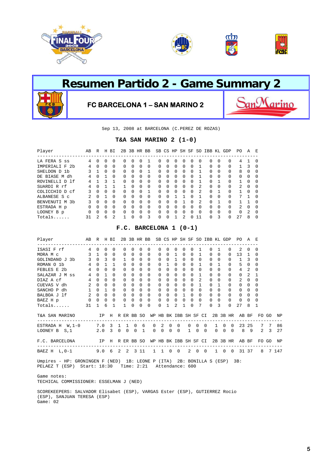





Sep 13, 2008 at BARCELONA (C.PEREZ DE ROZAS)

#### **T&A SAN MARINO 2 (1-0)**

| Player                        | AВ | R            | Н            | ВI             | 2B       | 3B       | HR           | BB           |              | SB CS        | HP               |          | SH SF        | SO.           | IBB          | KL           | GDP                                            | PO.      | A              | E            |
|-------------------------------|----|--------------|--------------|----------------|----------|----------|--------------|--------------|--------------|--------------|------------------|----------|--------------|---------------|--------------|--------------|------------------------------------------------|----------|----------------|--------------|
| LA FERA S ss                  | 4  | <sup>0</sup> | O            | 0              | 0        | $\Omega$ | O            |              | 0            | 0            | $\left( \right)$ | 0        | 0            | <sup>0</sup>  | <sup>0</sup> | 0            | ----------------------------------<br>$\Omega$ | 4        |                | <sup>0</sup> |
| IMPERIALI F<br>2 <sub>b</sub> | 4  | $\Omega$     | $\Omega$     | $\Omega$       | $\Omega$ | $\Omega$ | $\Omega$     | $\Omega$     | <sup>0</sup> | 0            | $\Omega$         | $\Omega$ | <sup>0</sup> |               | $\Omega$     | $\Omega$     | $\Omega$                                       |          | 3              | $\Omega$     |
| SHELDON D<br>1b               | 3  | 1            | <sup>0</sup> | $\Omega$       | $\Omega$ | $\Omega$ | $\Omega$     |              | $\Omega$     | <sup>0</sup> | $\Omega$         | $\Omega$ | 0            |               | $\Omega$     | $\Omega$     | $\Omega$                                       | 8        | $\Omega$       | <sup>0</sup> |
| DE BIASE M dh                 | 4  | U            |              | $\Omega$       | $\Omega$ | $\Omega$ | <sup>0</sup> | $\Omega$     | 0            | 0            | 0                | 0        | 0            |               | $\Omega$     | <sup>0</sup> | $\Omega$                                       | $\Omega$ | $\Omega$       | ∩            |
| ROVINELLI D 1f                | 4  |              | 3            |                | $\Omega$ | $\Omega$ | $\Omega$     | <sup>0</sup> | <sup>0</sup> | O            | <sup>n</sup>     | $\Omega$ | <sup>0</sup> |               | $\cap$       |              | $\Omega$                                       |          | $\Omega$       | $\Omega$     |
| SUARDI R rf                   | 4  | U            |              |                |          | $\cap$   | $\Omega$     | <sup>0</sup> | $\Omega$     | <sup>0</sup> | $\cap$           | $\Omega$ | <sup>0</sup> | $\mathcal{L}$ | $\Omega$     | $\Omega$     | $\Omega$                                       | 2        | $\Omega$       | $\Omega$     |
| COLICCHIO D cf                |    | <sup>0</sup> | 0            | $\Omega$       | 0        | $\Omega$ | <sup>0</sup> |              | <sup>0</sup> | 0            | $\cap$           | $\Omega$ | $\Omega$     | 2             | $\Omega$     |              | $\Omega$                                       |          | $\Omega$       | $\Omega$     |
| ALBANESE S c                  | 2  | $\cap$       |              | $\Omega$       | $\Omega$ | $\cap$   | $\cap$       | <sup>0</sup> | <sup>0</sup> | O            |                  |          | <sup>n</sup> |               | $\Omega$     | $\cap$       | $\Omega$                                       | 7        |                | $\cap$       |
| BENVENUTI M<br>3b             | 3  | $\Omega$     | $\Omega$     | $\Omega$       | $\Omega$ | $\Omega$ | $\Omega$     | <sup>0</sup> | <sup>0</sup> | $\Omega$     | <sup>n</sup>     |          | <sup>0</sup> | 2             | $\Omega$     |              | $\Omega$                                       |          |                | $\cap$       |
| ESTRADA H p                   | 0  | U            | 0            | $\Omega$       | 0        | $\Omega$ | $\Omega$     | $\Omega$     | <sup>0</sup> | 0            | $\cap$           | $\Omega$ | <sup>0</sup> | $\Omega$      | $\Omega$     | $\Omega$     | $\Omega$                                       | 2        | $\Omega$       | $\Omega$     |
| LOONEY B p                    | O  | U            | O            | $\Omega$       | 0        | $\cap$   | $\cap$       | $\Omega$     | <sup>0</sup> | O            | $\cap$           | $\Omega$ | <sup>n</sup> | $\Omega$      | $\Omega$     | $\cap$       | $\Omega$                                       | $\Omega$ | $\mathfrak{D}$ | $\cap$       |
| $Totals$                      | 31 | 2            | б            | $\mathfrak{D}$ |          | $\cap$   | U            | ς            | <sup>0</sup> | O            |                  | 2        | n.           | 11            | <sup>n</sup> | ς            | <sup>0</sup>                                   | 27       | 8              | $\Omega$     |

#### **F.C. BARCELONA 1 (0-1)**

| Player                                               | AВ              | R           |              | H BI         |              | 2B 3B HR BB         |             |                   |                   |                            |              |                |                       |             |              | SB CS HP SH SF SO IBB KL GDP |              |          |              | PO.            | A              |              |             |       |
|------------------------------------------------------|-----------------|-------------|--------------|--------------|--------------|---------------------|-------------|-------------------|-------------------|----------------------------|--------------|----------------|-----------------------|-------------|--------------|------------------------------|--------------|----------|--------------|----------------|----------------|--------------|-------------|-------|
| ISASI F rf                                           |                 | $4 \quad 0$ | $\Omega$     | $\Omega$     | $\Omega$     | $\cap$              | 0           | $\Omega$          | $\Omega$          | 0                          | $\Omega$     | $\Omega$       | $\cap$                |             | -1.          | 0                            | $\mathbf{1}$ |          | $\Omega$     | 2              | $\Omega$       | $\Omega$     |             |       |
| MORA M c                                             |                 | $3 \quad 1$ | $\Omega$     | $\Omega$     | $\Omega$     | $\Omega$            | 0           | $\Omega$          | $\Omega$          | $\Omega$                   | $\mathbf{1}$ | $\Omega$       | $\Omega$              |             | $\mathbf{1}$ | 0                            | $\Omega$     |          | $\Omega$     | 13             | 1.             | <sup>0</sup> |             |       |
| GOLINDANO J 3b                                       | 3 <sup>7</sup>  | $\Omega$    | 3            | $\Omega$     | 1            | $\Omega$            | $\Omega$    | $\Omega$          | $\Omega$          | $\Omega$                   | 1            | $\Omega$       | $\Omega$              |             | $\Omega$     | $\Omega$                     | $\Omega$     |          | $\Omega$     | $\mathbf{1}$   | 3              | $\Omega$     |             |       |
| ROMAN O 1b                                           | $4\overline{ }$ | $\Omega$    | $\mathbf{1}$ | $\mathbf{1}$ | $\Omega$     | $\Omega$            | $\Omega$    | $\Omega$          | $\Omega$          | $\mathbf{1}$               | $\Omega$     | $\Omega$       | $\Omega$              |             | 1            | $\Omega$                     | 1            |          | $\Omega$     | 5              | $\Omega$       | $\Omega$     |             |       |
| FEBLES E 2b                                          | $\overline{4}$  | $\Omega$    | $\Omega$     | $\Omega$     | $\Omega$     | $\Omega$            | 0           | $\Omega$          | $\Omega$          | $\Omega$                   | $\Omega$     | $\Omega$       | $\Omega$              |             | $\Omega$     | 0                            | $\Omega$     |          | $\Omega$     | 4              | $\mathfrak{D}$ | $\Omega$     |             |       |
| SALAZAR J M ss                                       | $\overline{4}$  | $\Omega$    | $\mathbf{1}$ | $\Omega$     | $\Omega$     | $\Omega$            | 0           | $\Omega$          | $\Omega$          | $\Omega$                   | $\Omega$     | $\Omega$       | $\Omega$              |             | 1            | $\Omega$                     | $\cap$       |          | $\Omega$     | $\Omega$       | 2              | 1            |             |       |
| DIAZ A cf                                            | $4^{\circ}$     | $\Omega$    | $\Omega$     | $\Omega$     | $\Omega$     | $\Omega$            | $\Omega$    | $\Omega$          | $\Omega$          | $\Omega$                   | $\Omega$     | $\Omega$       | $\Omega$              |             | 2            | 0                            | <sup>0</sup> |          | $\Omega$     | $\mathfrak{D}$ | 0              | $\Omega$     |             |       |
| CUEVAS V dh                                          | 2               | $\Omega$    | $\Omega$     | $\Omega$     | $\Omega$     | $\Omega$            | 0           | $\Omega$          | $\Omega$          | 0                          | $\Omega$     | $\Omega$       | $\Omega$              |             | $\mathbf{1}$ | 0                            |              |          | $\Omega$     | $\Omega$       | $\Omega$       | $\Omega$     |             |       |
| SANCHO P dh                                          | 1               | $\Omega$    | $\mathbf{1}$ | $\Omega$     | $\Omega$     | $\Omega$            | 0           | $\Omega$          | $\Omega$          | 0                          | $\Omega$     | $\Omega$       | $\Omega$              |             | $\Omega$     | 0                            | $\Omega$     |          | $\Omega$     | $\Omega$       | $\Omega$       | 0            |             |       |
| BALBOA J 1f 2 0                                      |                 |             | $\Omega$     | $\Omega$     | $\Omega$     | $\Omega$            | 0           | $\Omega$          | $\Omega$          | $\Omega$                   | $\Omega$     | 1              | $\Omega$              |             | $\Omega$     | 0                            | $\Omega$     |          | $\Omega$     | $\Omega$       | $\Omega$       | $\Omega$     |             |       |
| BAEZ H p                                             |                 | $0\quad 0$  | $\mathbf 0$  | $\mathbf 0$  | $\mathbf 0$  | $\mathbf 0$         | $\mathbf 0$ | $\mathbf 0$       | 0                 | $\mathbf 0$                | 0            | $\Omega$       | $\Omega$              |             | $\Omega$     | 0                            | $\Omega$     |          | $\Omega$     | 0              | 0              | $\Omega$     |             |       |
| $Totals$                                             | 31              | 1           | 6            | 1            | $\mathbf{1}$ | $\Omega$            | $\Omega$    | $\Omega$          | $\Omega$          | 1                          | 2            | 1              | $\Omega$              |             | 7            | $\Omega$                     | 3            |          | $\Omega$     | 27             | 8              | 1            |             |       |
| T&A SAN MARINO<br>---------------------------------- | IP H R ER BB SO |             |              |              |              |                     |             |                   |                   |                            |              |                | WP HB BK IBB SH SF CI |             |              |                              |              |          |              | 2B 3B HR AB BF |                |              | FO GO       | NP    |
| ESTRADA H W, 1-0 7.0 3 1 1                           |                 |             |              |              |              |                     | $0\quad 6$  | $\Omega$          | 2                 | $\Omega$                   |              | $\Omega$       | $\Omega$              | $\Omega$    | $\Omega$     |                              | $\mathbf{1}$ | $\Omega$ | $\Omega$     | 23             | 25             | 7            | 7           | 86    |
| LOONEY B $S,1$ 2.0                                   |                 |             |              | $3 \quad 0$  |              | $0 \quad 0 \quad 1$ |             | $\Omega$          |                   | $\Omega$<br>$\overline{0}$ |              | $\mathbf 0$    | 1                     | $\Omega$    | $\Omega$     |                              | $0 \quad 0$  |          | $\Omega$     | 8              | - 9            |              | $2 \quad 3$ | 27    |
| F.C. BARCELONA                                       | IP H R ER BB SO |             |              |              |              |                     |             |                   |                   |                            |              |                | WP HB BK IBB SH SF CI |             |              |                              |              |          | 2B 3B HR     |                | AB BF          |              | FO GO       | ΝP    |
| BAEZ H L, 0-1 9.0 6 2                                |                 |             |              |              |              | 2 3 1 1             |             |                   | $1\quad 1\quad 0$ |                            |              | $\overline{0}$ |                       | $2 \quad 0$ | $\Omega$     |                              | $1 \quad 0$  |          | $\mathbf{0}$ |                | 31 37          | 8            |             | 7 147 |
| Umpires - HP: GRONINGEN F (NED)                      |                 |             |              |              |              |                     |             | 1B: LEONE P (ITA) |                   |                            |              |                |                       |             |              | 2B: BONILLA S (ESP)          |              |          |              | 3B:            |                |              |             |       |

PELAEZ T (ESP) Start: 18:30 Time: 2:21 Attendance: 600

 Game notes: TECHICAL COMMISSIONER: ESSELMAN J (NED)

 SCOREKEEPERS: SALVADOR Elisabet (ESP), VARGAS Ester (ESP), GUTIERREZ Rocio (ESP), SANJUAN TERESA (ESP) Game: 02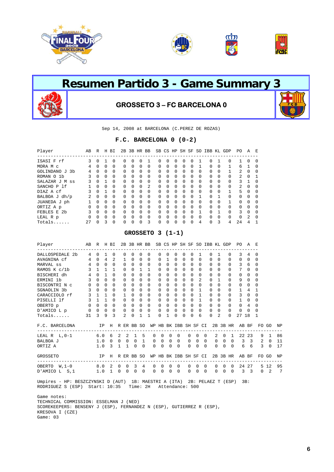





# **Resumen Partido 3 - Game Summary 3 GROSSETO 3 – FC BARCELONA 0**

Sep 14, 2008 at BARCELONA (C.PEREZ DE ROZAS)

#### **F.C. BARCELONA 0 (0-2)**

| Player            | AB           | R            | H        | ВI       |              |              | 2B 3B HR BB  |          |              |              |              | SB CS HP SH SF SO |              |          | IBB KL       |              | GDP          | PO.           | A              | E            |
|-------------------|--------------|--------------|----------|----------|--------------|--------------|--------------|----------|--------------|--------------|--------------|-------------------|--------------|----------|--------------|--------------|--------------|---------------|----------------|--------------|
| ISASI F rf        | 3            | <sup>0</sup> |          | $\Omega$ | 0            | <sup>0</sup> | <sup>0</sup> |          | $\Omega$     | $\Omega$     | 0            | 0                 | 0            |          | 0            |              | <sup>0</sup> | 1.            | $\Omega$       | $\Omega$     |
| MORA M c          | 4            | 0            | 0        | $\Omega$ | $\Omega$     | $\Omega$     | $\Omega$     | 0        | $\Omega$     | $\Omega$     | $\Omega$     | $\Omega$          | $\Omega$     |          | 0            | 0            |              | 6             |                | <sup>0</sup> |
| GOLINDANO J<br>3b | 4            | $\Omega$     | $\Omega$ | $\Omega$ | $\Omega$     | $\Omega$     | $\Omega$     | $\Omega$ | $\Omega$     | $\Omega$     | $\Omega$     | $\Omega$          | $\Omega$     | $\Omega$ | 0            | $\Omega$     |              | $\mathcal{L}$ | $\Omega$       | $\Omega$     |
| ROMAN O 1b        | ર            | $\Omega$     | $\Omega$ | $\Omega$ | $\Omega$     | $\Omega$     | $\Omega$     | $\Omega$ | $\Omega$     | $\Omega$     | $\Omega$     | $\Omega$          | $\Omega$     | $\Omega$ | $\Omega$     | $\Omega$     | $\Omega$     | $\mathcal{L}$ | $\Omega$       |              |
| SALAZAR J M<br>SS |              | <sup>0</sup> |          | $\Omega$ | $\Omega$     | $\Omega$     | $\Omega$     | $\Omega$ | $\Omega$     | $\Omega$     | $\Omega$     | $\Omega$          | $\Omega$     | $\Omega$ | $\Omega$     | $\Omega$     | $\Omega$     | $\mathcal{L}$ |                | $\Omega$     |
| SANCHO P 1f       |              | <sup>0</sup> | $\Omega$ | $\Omega$ | $\Omega$     | $\Omega$     | $\Omega$     | 2        | $\Omega$     | $\Omega$     | <sup>0</sup> | $\Omega$          | $\Omega$     | $\Omega$ | $\Omega$     | <sup>0</sup> | $\Omega$     | 2             | $\Omega$       | $\Omega$     |
| DIAZ A cf         |              | <sup>0</sup> |          | $\Omega$ | $\Omega$     | $\Omega$     | $\Omega$     | $\Omega$ | $\Omega$     | $\Omega$     | <sup>0</sup> | $\Omega$          | $\Omega$     | $\Omega$ | 0            | <sup>0</sup> |              | 5             | $\Omega$       | $\Omega$     |
| BALBOA J dh/p     | 2            | $\Omega$     | $\Omega$ | $\Omega$ | $\Omega$     | $\Omega$     | $\Omega$     | $\Omega$ | $\Omega$     | $\Omega$     | <sup>0</sup> | <sup>0</sup>      | $\Omega$     |          | <sup>0</sup> |              | $\Omega$     | $\Omega$      | $\Omega$       | $\cap$       |
| JUANEDA J ph      |              | <sup>0</sup> | $\Omega$ | $\Omega$ | $\Omega$     | $\Omega$     | $\Omega$     | $\Omega$ | $\Omega$     | $\Omega$     | $\Omega$     | $\Omega$          | $\Omega$     | $\Omega$ | 0            | $\Omega$     |              | $\Omega$      | $\Omega$       | $\Omega$     |
| ORTIZ A p         | <sup>0</sup> | <sup>0</sup> | $\Omega$ | $\Omega$ | $\Omega$     | $\Omega$     | $\Omega$     | $\Omega$ | $\Omega$     | $\Omega$     | $\Omega$     | 0                 | $\Omega$     | $\Omega$ | 0            | O            | $\Omega$     | $\Omega$      | $\cap$         | $\Omega$     |
| FEBLES E 2b       |              | $\Omega$     | $\Omega$ | $\Omega$ | $\Omega$     | $\Omega$     | $\Omega$     | $\Omega$ | $\Omega$     | $\Omega$     | $\Omega$     | $\Omega$          | $\Omega$     |          | $\Omega$     |              | $\Omega$     | 3             | $\Omega$       | $\Omega$     |
| LEAL R p          | O            | U            | $\Omega$ | $\Omega$ | <sup>0</sup> | $\Omega$     | $\Omega$     | $\Omega$ | <sup>0</sup> | <sup>0</sup> | <sup>0</sup> | $\Omega$          | $\Omega$     | $\Omega$ | $\Omega$     | O            | $\Omega$     | $\Omega$      | $\mathfrak{D}$ | $\Omega$     |
| Totals.           | 27           | U            | 3        | $\Omega$ | 0            | O            | <sup>0</sup> | 3        | 0            | 0            | 0            | 0                 | <sup>0</sup> | 4        | 0            | 3            | 4            | 2.4           | 4              |              |

#### **GROSSETO 3 (1-1)**

| Player                                                                                                                                     | AB R H BI      |             |              |          |          |                |                           |                | 2B 3B HR BB SB CS HP SH SF SO IBB KL GDP                   |             |                   |                          |                |                |             |                |              |              |          | PO A E                        |                |          |             |    |
|--------------------------------------------------------------------------------------------------------------------------------------------|----------------|-------------|--------------|----------|----------|----------------|---------------------------|----------------|------------------------------------------------------------|-------------|-------------------|--------------------------|----------------|----------------|-------------|----------------|--------------|--------------|----------|-------------------------------|----------------|----------|-------------|----|
| DALLOSPEDALE 2b                                                                                                                            | $\overline{4}$ | $\Omega$    | 1            | $\Omega$ |          | $\Omega$       | $\Omega$                  | 0              | $\mathbf 0$                                                | $\Omega$    | $\Omega$          | $\Omega$                 | $\Omega$       | $\Omega$       | 1           |                | 0            | 1            | $\Omega$ | 3                             | 4              | 0        |             |    |
| AVAGNINA cf                                                                                                                                |                | 4 0 4       |              | 2        |          | 1              | $\Omega$                  | $\Omega$       | $\Omega$                                                   | $\Omega$    | $\mathbf{1}$      | $\Omega$                 | $\Omega$       | $\Omega$       | $\Omega$    |                | $\Omega$     | $\Omega$     | $\Omega$ | $\Omega$                      | $\Omega$       | $\Omega$ |             |    |
| MARVAL ss<br>RAMOS K c/lb                                                                                                                  |                | 4 0 0       |              | $\Omega$ |          | $\Omega$       | $\Omega$                  | $\Omega$       | $\Omega$                                                   | $\Omega$    | $\Omega$          | $\Omega$                 | $\Omega$       | $\Omega$       |             | $\Omega$       | $\Omega$     | $\Omega$     | $\Omega$ | $\mathcal{L}$                 | 6              | $\Omega$ |             |    |
|                                                                                                                                            |                | $3 \t1 \t1$ |              | 1.       |          | $\Omega$       | $\Omega$                  | $\mathbf{1}$   | $\mathbf{1}$                                               | $\Omega$    | $\Omega$          | $\Omega$                 | $\Omega$       | $\Omega$       |             | $\Omega$       | 0            | $\Omega$     | $\Omega$ | 7                             | $\Omega$       | $\Omega$ |             |    |
| BISCHERI dh<br>ERMINI 1b                                                                                                                   | 4              | $\Omega$    | $\mathbf{1}$ | $\Omega$ |          | $\Omega$       | $\Omega$                  | $\Omega$       | $\Omega$                                                   | $\Omega$    | $\Omega$          | $\Omega$                 | $\Omega$       | $\Omega$       |             | $\Omega$       | $\Omega$     | $\Omega$     | $\Omega$ | $\Omega$                      | $\Omega$       | $\Omega$ |             |    |
|                                                                                                                                            | $\overline{3}$ | $\Omega$    | $\Omega$     | $\Omega$ |          | $\Omega$       | $\Omega$                  | $\Omega$       | $\Omega$                                                   | $\Omega$    | $\Omega$          | $\Omega$                 | $\Omega$       | $\Omega$       |             | $\overline{2}$ | $\Omega$     | $\mathbf{1}$ | $\Omega$ | 9                             | $\Omega$       | $\Omega$ |             |    |
| BISCONTRINC 00                                                                                                                             |                |             | $\Omega$     | $\Omega$ |          | $\Omega$       | $\Omega$                  | $\Omega$       | $\Omega$                                                   | $\Omega$    | $\Omega$          | $\Omega$                 | $\Omega$       | $\Omega$       |             | $\Omega$       | $\Omega$     | $\Omega$     | $\Omega$ | $\Omega$                      | $\Omega$       | $\Omega$ |             |    |
| SGNAOLIN 3b                                                                                                                                | 3 <sup>7</sup> | $\Omega$    | $\Omega$     | $\Omega$ |          | $\Omega$       | $\Omega$                  | 0              | $\Omega$                                                   | $\Omega$    | 0                 | $\Omega$                 | $\Omega$       | $\Omega$       |             | 1              | 0            | $\Omega$     | $\Omega$ | $\mathbf{1}$                  | 4              | 1        |             |    |
| $\begin{tabular}{llllll} \texttt{CARACCIOLO} & \texttt{rf} & & 3 & 1 & 1 \\ \texttt{PISELLI} & \texttt{lf} & & 3 & 1 & 1 \\ \end{tabular}$ |                |             |              | $\Omega$ |          | 1              | $\Omega$                  | 0              | $\Omega$                                                   | $\Omega$    | 0                 | $\Omega$                 | $\Omega$       | $\Omega$       |             | $\mathbf{1}$   | $\Omega$     | $\Omega$     | $\Omega$ | 3                             | $\Omega$       | $\Omega$ |             |    |
|                                                                                                                                            |                |             |              | $\Omega$ |          | $\Omega$       | $\Omega$                  | $\Omega$       | $\overline{0}$                                             | $\Omega$    | $\Omega$          | $\cap$                   | $\Omega$       | $\Omega$       |             | $\mathbf{1}$   | $\Omega$     | $\Omega$     | $\Omega$ | 1                             | $\Omega$       | $\Omega$ |             |    |
| OBERTO $p$ 0 0 0                                                                                                                           |                |             |              | $\Omega$ |          | $0\quad 0$     |                           |                | $\begin{matrix} 0 & 0 \\ 0 & 0 \end{matrix}$               | $\mathbf 0$ |                   | $0 \quad 0$              | $\Omega$       | $\Omega$       |             | $\Omega$       | $\Omega$     | $\Omega$     | $\Omega$ | $\Omega$                      | $\overline{4}$ | $\Omega$ |             |    |
| D'AMICO L p                                                                                                                                |                | $0\quad 0$  | $\Omega$     | $\Omega$ |          | $\mathbf{0}$   | $\overline{0}$            |                |                                                            | $\mathbf 0$ | $\Omega$          | $\Omega$                 | $\Omega$       | $\Omega$       |             | $\Omega$       | 0            | $\Omega$     | $\Omega$ | $\Omega$                      | $\Omega$       | $\Omega$ |             |    |
| $Totals$ . $313$                                                                                                                           |                |             | 9            | 3        |          | 2              | $\Omega$                  | $\mathbf{1}$   | $\mathbf{1}$                                               | $\Omega$    | 1                 | $\Omega$                 | $\Omega$       | $\cap$         |             | 6              | 0            | 2            | $\Omega$ | 27                            | 18             | 1        |             |    |
| F.C. BARCELONA                                                                                                                             |                |             |              |          |          |                |                           |                | IP H R ER BB SO WP HB BK IBB SH SF CI 2B 3B HR AB BF FO GO |             |                   |                          |                |                |             |                |              |              |          |                               |                |          |             | ΝP |
| LEAL R L, 0-1 6.0 6 2                                                                                                                      |                |             |              |          |          | $\overline{2}$ |                           | 1 5            |                                                            |             | $0\quad 0\quad 0$ | $\overline{\phantom{0}}$ |                | $\Omega$       | $\Omega$    | $\Omega$       |              | $\mathbf{2}$ |          | $0 \quad 1 \quad 22 \quad 23$ |                |          | 9 1         | 86 |
| BALBOA J                                                                                                                                   |                |             |              |          |          |                | 1.0 0 0 0 0 1             |                |                                                            |             |                   |                          |                |                |             |                |              |              |          | 0 0 0 0 0 0 0 0 0 0 3 3 2 0   |                |          |             | 11 |
| ORTIZ A                                                                                                                                    |                |             |              |          |          |                | $1.0 \t3 \t1 \t1 \t0 \t0$ |                | $\Omega$                                                   |             | $0 \quad 0$       |                          | $\Omega$       |                | $0 \quad 0$ | $\Omega$       |              |              |          | 0 0 0 6 6                     |                |          | $3 \quad 0$ | 17 |
| IP H R ER BB SO WP HB BK IBB SH SF CI 2B 3B HR AB BF<br>GROSSETO                                                                           |                |             |              |          |          |                |                           |                |                                                            |             |                   |                          |                |                |             |                |              |              |          |                               |                | FO GO    |             | ΝP |
| OBERTO W.1-0 8.0 2 0                                                                                                                       |                |             |              |          |          | $\mathbf 0$    |                           | $3 \quad 4$    |                                                            |             | $0\quad 0\quad 0$ |                          | $\overline{0}$ | $\overline{0}$ | $\Omega$    | $\Omega$       | $\mathbf{0}$ | $\Omega$     |          | $\Omega$                      | 24 27          |          | 5 1 2       | 95 |
| D'AMICO L S.1                                                                                                                              | 1.0 1          |             |              |          | $\Omega$ | $\mathbf 0$    | $\Omega$                  | $\overline{0}$ | $\Omega$                                                   | $\Omega$    | $\Omega$          |                          | $\Omega$       | $\Omega$       | $\Omega$    | $\Omega$       | $\Omega$     | 0            | $\Omega$ |                               | 3 <sup>3</sup> | $\Omega$ | 2           | 7  |
| Umpires - HP: BESZCZYNSKI D (AUT) 1B: MAESTRI A (ITA) 2B: PELAEZ T (ESP)<br>RODRIGUEZ S (ESP)                                              |                |             |              |          |          |                | Start: $10:35$ Time: $2H$ |                |                                                            |             | Attendance: 500   |                          |                |                |             |                |              |              |          |                               | 3B:            |          |             |    |

 Game notes: TECHNICAL COMMISSION: ESSELMAN J (NED) SCOREKEEPERS: BENSENY J (ESP), FERNANDEZ N (ESP), GUTIERREZ R (ESP), KRESOVA I (CZE) Game: 03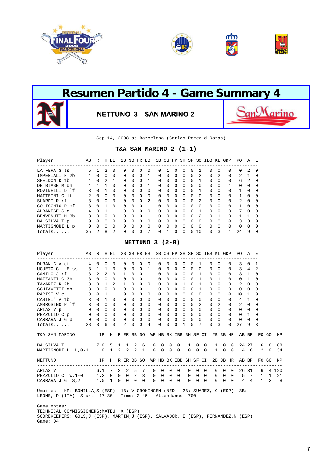





Sep 14, 2008 at Barcelona (Carlos Perez d Rozas)

#### **T&A SAN MARINO 2 (1-1)**

| Player                        | AВ           | R            | Η              | ВI       | 2B           | 3B           | HR           | BB             |              |              | SB CS HP     | SH SF        |              | S0             | IBB          | KL | GDP      | PO.            | A             | E        |
|-------------------------------|--------------|--------------|----------------|----------|--------------|--------------|--------------|----------------|--------------|--------------|--------------|--------------|--------------|----------------|--------------|----|----------|----------------|---------------|----------|
| LA FERA S<br>SS               | 5            |              | 2              | $\Omega$ | $\Omega$     | <sup>0</sup> | 0            | $\Omega$       | <sup>0</sup> |              | O            | 0            | <sup>0</sup> |                | 0            | O  | $\Omega$ | 0              | 2             | $\Omega$ |
| IMPERIALI F<br>2 <sub>b</sub> | 4            | <sup>0</sup> | $\Omega$       | $\Omega$ | $\Omega$     | $\Omega$     | $\Omega$     |                | $\Omega$     | $\Omega$     | $\Omega$     | 0            | 0            | 2              | 0            | 2  | $\Omega$ | 2              |               | $\Omega$ |
| SHELDON D 1b                  | 4            | O            | $\mathfrak{D}$ |          | <sup>0</sup> | $\Omega$     | $\Omega$     |                | <sup>0</sup> | <sup>0</sup> | <sup>0</sup> | <sup>0</sup> | $\Omega$     |                | <sup>0</sup> | O  | $\Omega$ | 6              | 2             | $\Omega$ |
| DE BIASE M dh                 | 4            |              |                | $\Omega$ | <sup>0</sup> | $\Omega$     | $\Omega$     |                | $\Omega$     | $\Omega$     | <sup>0</sup> | $\Omega$     | $\Omega$     | O              | 0            | 0  |          | <sup>0</sup>   | $\Omega$      | $\Omega$ |
| ROVINELLI D 1f                | 3            | O            |                | $\Omega$ | <sup>0</sup> | $\Omega$     | $\Omega$     | $\Omega$       | <sup>0</sup> | <sup>0</sup> | <sup>0</sup> | $\Omega$     | $\Omega$     |                | <sup>0</sup> | O  | $\Omega$ |                | $\Omega$      | $\Omega$ |
| MATTEINI G 1f                 |              | <sup>0</sup> | <sup>0</sup>   | $\Omega$ | <sup>0</sup> | $\Omega$     | $\Omega$     | $\Omega$       | $\Omega$     | $\Omega$     | $\Omega$     | 0            | $\Omega$     | O              | 0            | O  | $\Omega$ |                | $\Omega$      | $\Omega$ |
| SUARDI R rf                   |              | $\Omega$     | $\Omega$       | $\Omega$ | <sup>0</sup> | $\cap$       | $\Omega$     | $\mathfrak{D}$ | $\Omega$     | <sup>0</sup> | <sup>0</sup> | $\Omega$     | $\Omega$     | $\mathfrak{D}$ | $\Omega$     | O  | $\Omega$ | $\mathfrak{D}$ | $\Omega$      | $\Omega$ |
| COLICCHIO D cf                | 3            | O            |                | $\Omega$ | $\Omega$     | O            | <sup>0</sup> |                | 0            | <sup>0</sup> | $\Omega$     | 0            | $\Omega$     | $\Omega$       | $\Omega$     | O  | $\Omega$ |                | $\Omega$      | $\Omega$ |
| ALBANESE S C                  | 4            | U            |                |          | <sup>0</sup> | U            | $\Omega$     | <sup>0</sup>   | <sup>0</sup> | <sup>0</sup> | <sup>0</sup> | $\Omega$     | <sup>n</sup> |                | 0            | O  | $\Omega$ | 7              | $\Omega$      | $\Omega$ |
| BENVENUTI M<br>.3b            | 3            | <sup>0</sup> | <sup>0</sup>   | $\Omega$ | <sup>0</sup> | $\Omega$     | <sup>0</sup> |                | 0            | <sup>0</sup> | 0            | 0            | $\Omega$     | 2              | $\Omega$     |    | $\Omega$ |                |               | $\Omega$ |
| DA SILVA T p                  | <sup>0</sup> | U            | $\Omega$       | $\Omega$ | <sup>0</sup> | U            | $\Omega$     | <sup>0</sup>   | <sup>0</sup> | <sup>0</sup> | <sup>0</sup> | $\Omega$     | $\cap$       | $\Omega$       | <sup>0</sup> | O  | $\Omega$ | ζ              | $\mathcal{R}$ | $\Omega$ |
| MARTIGNONI L p                | $\Omega$     | <sup>0</sup> | <sup>0</sup>   | $\Omega$ | $\Omega$     | $\Omega$     | $\Omega$     | $\Omega$       | 0            | <sup>0</sup> | O            | 0            | U            | $\Omega$       | 0            | 0  | $\Omega$ | <sup>0</sup>   | $\Omega$      | $\Omega$ |
| $Totals$                      | 35           | 2            | 8              | 2        | <sup>0</sup> | U            | $\Omega$     | 7              | <sup>0</sup> |              | $\Omega$     | <sup>0</sup> | U            | 10             | U            | ς  | 1        | 2.4            | 9             | $\Omega$ |

#### **NETTUNO 3 (2-0)**

| Player AB R H BI                                                                                      |  |              |          |                                     |          | 2B 3B HR BB SB CS HP SH SF SO IBB KL GDP PO A E            |          |                             |                     |             |                                 |                 |               |                     |              |                |                                 |                |                                   |                |
|-------------------------------------------------------------------------------------------------------|--|--------------|----------|-------------------------------------|----------|------------------------------------------------------------|----------|-----------------------------|---------------------|-------------|---------------------------------|-----------------|---------------|---------------------|--------------|----------------|---------------------------------|----------------|-----------------------------------|----------------|
| DURAN C A cf 4 0 0 0                                                                                  |  |              | $\Omega$ | $\Omega$                            |          | $0\quad 0$                                                 | $\Omega$ | $\Omega$                    |                     | $0 \quad 0$ | $\Omega$                        | $\overline{1}$  |               | $0\quad 0$          |              | $\overline{0}$ | $\overline{3}$                  | $0\quad1$      |                                   |                |
| UGUETO C.L E ss $3$ 1 1 0                                                                             |  |              |          |                                     |          | 0 0 0 1 0 0 0 0                                            |          |                             |                     |             |                                 |                 | $0 \quad 0$   |                     |              |                | 0 0 0 3 4 2                     |                |                                   |                |
|                                                                                                       |  |              |          | $1 \quad 0$                         |          | $0\quad 1$                                                 | $\Omega$ | $\Omega$                    |                     | $0 \quad 0$ |                                 | $0\quad1$       |               | $\Omega$            | $\Omega$     |                | $0 \t 3 \t 1 \t 0$              |                |                                   |                |
|                                                                                                       |  |              |          | $0 \quad 0$                         |          | $0\quad 1\quad 0$                                          |          |                             | $0 \quad 0 \quad 0$ |             |                                 | $0\quad1$       |               | $\Omega$            | $\mathbf{1}$ | $\Omega$       | $\Omega$                        | $\overline{1}$ | $\Omega$                          |                |
|                                                                                                       |  |              |          |                                     |          | 1 0 0 0 0 0 0 1                                            |          |                             |                     |             |                                 |                 | $0\quad 1$    | $0 \quad 0$         |              | $\Omega$       | 2                               | $\Omega$       | $\Omega$                          |                |
| SCHIAVETTI dh 3 0 0 0                                                                                 |  |              |          | $\begin{matrix} 0 & 0 \end{matrix}$ |          | $0\quad 1\quad 0$                                          |          |                             | $0 \quad 0 \quad 0$ |             |                                 | $0\quad1$       |               | $\Omega$            | $\Omega$     | $\Omega$       | $\Omega$                        | $\Omega$       | $\Omega$                          |                |
|                                                                                                       |  | $\mathbf{1}$ | $\Omega$ | $\Omega$                            | $\Omega$ | $\Omega$                                                   | $\Omega$ | $\Omega$                    |                     | $0 \quad 0$ | $\Omega$                        |                 | $\Omega$      | $\Omega$            | $\Omega$     | $\Omega$       | 10                              | <sup>1</sup>   | $\Omega$                          |                |
| PARISI V c 3 0 1<br>CASTRI'A 1b 3 0 1                                                                 |  | $\Omega$     | $\Omega$ | $\Omega$                            |          | $0\quad 0$                                                 |          | $0\quad 0\quad 0\quad 0$    |                     |             | $\Omega$                        | $\Omega$        |               | $\Omega$            | $\Omega$     | $\overline{0}$ | $\overline{4}$                  | 1              | $\Omega$                          |                |
|                                                                                                       |  |              |          |                                     |          |                                                            |          |                             |                     |             |                                 |                 |               |                     |              |                | $0 \t2 \t0 \t2 \t0$             |                | $\Omega$                          |                |
|                                                                                                       |  |              |          |                                     |          |                                                            |          |                             |                     |             |                                 |                 |               | $0 \quad 0$         |              | 0              | $0\quad 0$                      |                | $\Omega$                          |                |
|                                                                                                       |  |              |          |                                     |          |                                                            |          |                             |                     |             |                                 |                 |               |                     |              |                | 0 0 0 0 1                       |                | $\Omega$                          |                |
|                                                                                                       |  |              |          |                                     |          |                                                            |          |                             |                     |             |                                 |                 |               |                     |              |                | $0\quad 0\quad 0\quad 0\quad 0$ |                | $\Omega$                          |                |
| Totals 28 3 6 3 2 0 0 4                                                                               |  |              |          |                                     |          |                                                            |          | $0 \quad 0 \quad 0 \quad 1$ |                     |             | $\Omega$                        | $7\overline{ }$ |               | $0 \quad 3 \quad 0$ |              |                | $27^{9}$                        |                | 3                                 |                |
| T&A SAN MARINO IP H R ER BB SO WP HB BK IBB SH SF CI 2B 3B HR AB BF FO GO<br>------------------------ |  |              |          |                                     |          |                                                            |          |                             |                     |             |                                 |                 |               |                     |              |                |                                 |                |                                   | NP             |
| DA SILVA T 7.0 5 1 1 2 6                                                                              |  |              |          |                                     |          |                                                            |          |                             |                     |             |                                 |                 | 0 0 0 0 1 0 0 |                     |              |                |                                 |                | 1 0 0 24 27 6 8 88                |                |
| MARTIGNONI L L, 0-1 1.0 1 2 2 2 1 0 0 0                                                               |  |              |          |                                     |          |                                                            |          |                             |                     | $\Omega$    | $\begin{matrix}0&0\end{matrix}$ |                 | $\Omega$      |                     |              |                |                                 |                | 1 0 0 4 6 2 0                     | 34             |
| NETTUNO                                                                                               |  |              |          |                                     |          | IP H R ER BB SO WP HB BK IBB SH SF CI 2B 3B HR AB BF FO GO |          |                             |                     |             |                                 |                 |               |                     |              |                |                                 |                |                                   | N <sub>P</sub> |
| ----------------------<br>6.1 7 2 2 5 7<br>ARIAS V                                                    |  |              |          |                                     |          |                                                            |          |                             |                     |             |                                 |                 |               |                     |              |                |                                 |                | 0 0 0 0 0 0 0 0 0 0 26 31 6 4 120 |                |
| PEZZULLOC W, 1-0 1.2 0 0 0 2 3 0 0 0 0 0 0 0 0 0 0 0 5 7 1 1 21                                       |  |              |          |                                     |          |                                                            |          |                             |                     |             |                                 |                 |               |                     |              |                |                                 |                |                                   |                |
| CARRARA J G S, 2 1.0 1 0 0 0 0                                                                        |  |              |          |                                     |          |                                                            |          |                             |                     |             |                                 |                 |               |                     |              |                |                                 |                | 0 0 0 0 0 0 0 0 0 0 4 4 1 2 8     |                |
| Umpires - HP: BONILLA, S (ESP) 1B: V GRONINGEN (NED) 2B: SUAREZ, C (ESP) 3B:                          |  |              |          |                                     |          |                                                            |          |                             |                     |             |                                 |                 |               |                     |              |                |                                 |                |                                   |                |
| LEONE, P (ITA) Start: 17:30 Time: 2:45 Attendance: 700                                                |  |              |          |                                     |          |                                                            |          |                             |                     |             |                                 |                 |               |                     |              |                |                                 |                |                                   |                |

 Game notes: TECHNICAL COMMISSIONERS:MATEU ,X (ESP) SCOREKEEPERS: GOLS,J (ESP), MARTIN,J (ESP), SALVADOR, E (ESP), FERNANDEZ,N (ESP) Game: 04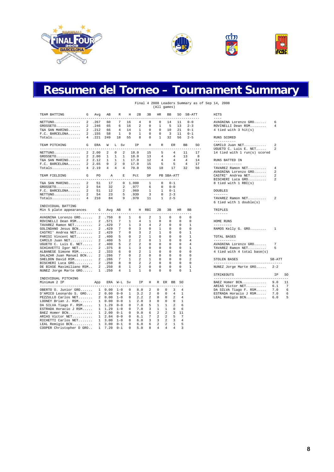



### **Resumen del Torneo – Tournament Summary**

#### Final 4 2008 Leaders Summary as of Sep 14, 2008 (All games)

| TEAM BATTING<br>-------------------------------             | G<br>Avq              | AВ                | R                            | Н            | 2В           | 3В           | HR.            |                | BB<br>-----      | -----                   | SO SB-ATT<br>------- |             | HITS<br>$- - - -$                        |                                  |                |
|-------------------------------------------------------------|-----------------------|-------------------|------------------------------|--------------|--------------|--------------|----------------|----------------|------------------|-------------------------|----------------------|-------------|------------------------------------------|----------------------------------|----------------|
| $NETTUNO$                                                   | 2 .267                | 60                | 7                            | 16           | 4            | $\mathbf 0$  | 0              |                | 14               | 11                      | $0 - 0$              |             | AVAGNINA Lorenzo GRO                     | 6                                |                |
| $GROSSETO$                                                  | 2 .246                | 65                | 6                            | 16           | 2            | $\circ$      | $\mathbf{1}$   |                | 5                | 13                      | $2 - 3$              |             | ROVINELLI Dean RSM                       | 4                                |                |
| T&A SAN MARINO                                              | 2 .212                | 66                | 4                            | 14           | 1            | $\Omega$     | $\Omega$       |                | 10               | 21                      | $0 - 1$              |             | 4 tied with 3 hit(s)                     |                                  |                |
| $F.C.$ BARCELONA                                            | 2 .155                | 58                | $\mathbf{1}$                 | 9            | $\mathbf{1}$ | $\Omega$     | $\Omega$       |                | 3                | 11                      | $0 - 1$              |             |                                          |                                  |                |
| Totals                                                      | 4.221                 | 249               | 18                           | 55           | 8            | $\Omega$     | $\mathbf{1}$   |                | 32               | 56                      | $2 - 5$              |             | RUNS SCORED                              |                                  |                |
|                                                             |                       |                   |                              |              |              |              |                |                |                  |                         |                      |             | -----------                              |                                  |                |
| TEAM PITCHING<br>G<br>--------------------------------      | ERA                   | W<br>-----        | L Sv<br>$- - - - - - - -$    |              | ΙP           | Н<br>$- - -$ | R<br>------    |                | ER.<br>$- - - -$ |                         | BB<br>$- - - -$      | SO.<br>---- | CAMILO Juan NET<br>UGUETO C. Luis E. NET | $\mathfrak{D}$<br>$\mathfrak{D}$ |                |
| $NETTUNO$                                                   | 2, 2.00               | 2                 | 0<br>2                       |              | 18.0         | 15           | 5              |                | 4                |                         | 11                   | 17          | 14 tied with 1 run(s) scored             |                                  |                |
| GROSSETO                                                    | 2, 2.00               | $\mathbf{1}$      | $\mathbf{1}$<br>$\mathbf{1}$ |              | 18.0         | 13           |                | 4              | 4                |                         | 13                   | 8           |                                          |                                  |                |
| T&A SAN MARINO                                              | 2, 2.12               | 1                 | $\mathbf{1}$<br>1            |              | 17.0         | 12           |                | 4              | 4                |                         | $\overline{4}$       | 14          | RUNS BATTED IN                           |                                  |                |
| $F.C.$ BARCELONA                                            | 2, 2.65               | 0                 | 2<br>$\Omega$                |              | 17.0         | 15           | 5              |                | 5                |                         | $\overline{4}$       | 17          | --------------                           |                                  |                |
|                                                             | 4, 2.19               | 4                 | 4<br>4                       |              | 70.0         | 55           | 18             |                | 17               |                         | 32                   | 56          | TAVAREZ Ramon NET                        | 4                                |                |
|                                                             |                       |                   |                              |              |              |              |                |                |                  |                         |                      |             | AVAGNINA Lorenzo GRO                     | $\mathfrak{D}$                   |                |
| TEAM FIELDING<br>G                                          | PO.                   | $\mathbb{A}$      | E                            |              | Pct          | <b>DP</b>    |                |                | PB SBA-ATT       |                         |                      |             | CASTRI' Andrea NET                       | $\mathfrak{D}$                   |                |
| --------------------------                                  |                       |                   |                              |              |              |              |                |                | ------           |                         |                      |             | BISCHERI Luca GRO                        | $\mathfrak{D}$                   |                |
| 2<br>T&A SAN MARINO                                         | 51                    | 17                | $^{\circ}$                   | 1.000        |              | $\mathbf{1}$ | 0              |                | $0 - 1$          |                         |                      |             | 8 tied with 1 RBI(s)                     |                                  |                |
| GROSSETO                                                    | 2<br>54               | 32                | 2                            |              | .977         | 6            | $\Omega$       |                | $0 - 0$          |                         |                      |             |                                          |                                  |                |
| $F.C.$ BARCELONA                                            | $\overline{a}$<br>51  | $12 \overline{ }$ | 2                            |              | .969         | 1            |                | $\mathbf{1}$   | $0 - 1$          |                         |                      |             | <b>DOUBLES</b>                           |                                  |                |
| $\mathfrak{D}$<br>$NETTUNO.\dots\dots\dots\dots\dots$       | 54                    | 23                | 5                            |              | .939         | 3            |                | $\Omega$       | $2 - 3$          |                         |                      |             | $- - - - - - -$                          |                                  |                |
| Totals                                                      | 210<br>$\overline{4}$ | 84                | 9                            |              | .970         | 11           |                | $\mathbf{1}$   | $2 - 5$          |                         |                      |             | TAVAREZ Ramon NET                        | 2                                |                |
|                                                             |                       |                   |                              |              |              |              |                |                |                  |                         |                      |             | 6 tied with 1 double(s)                  |                                  |                |
| INDIVIDUAL BATTING                                          |                       |                   |                              |              |              |              |                |                |                  |                         |                      |             |                                          |                                  |                |
| Min 5 plate appearances<br>-------------------------------- | G                     |                   | Avq AB                       | R<br>----    |              | H RBI        | 2В             |                | 3B               | HR                      | BB<br>$-$            |             | TRIPLES<br>$- - - - - - -$               |                                  |                |
| AVAGNINA Lorenzo GRO                                        |                       | 2 .750            | 8                            | $\mathbf{1}$ | 6            | 2            | 1              |                | $\Omega$         | $\Omega$                | $\Omega$             |             |                                          |                                  |                |
| ROVINELLI Dean RSM                                          |                       | 2 .571            | 7                            | $\mathbf{1}$ | 4            | $\mathbf{1}$ | $\Omega$       |                | $\Omega$         | $\Omega$                | $\Omega$             |             | HOME RUNS                                |                                  |                |
|                                                             | 2                     | .429              | 7                            | $\mathbf{1}$ | 3            | 4            | 2              |                | $\Omega$         | $\Omega$                | $\mathbf{1}$         |             | ---------                                |                                  |                |
| TAVAREZ Ramon NET                                           |                       |                   |                              |              |              |              |                |                |                  |                         |                      |             |                                          |                                  |                |
| GOLINDANO Jesus BCN                                         |                       | 2 .429            | 7                            | 0            | 3            | $\mathbf{0}$ | $\mathbf{1}$   |                | 0                | $\circ$                 | $\circ$              |             | RAMOS Kelly G. GRO                       | 1                                |                |
| CASTRI' Andrea NET                                          |                       | 2.429             | 7                            | $\circ$      | 3            | 2            | $\mathbf{1}$   |                | $\Omega$         | $\Omega$                | $\mathbf{1}$         |             |                                          |                                  |                |
| PARISI Vincent NET                                          |                       | 2.400             | 5                            | $\Omega$     | 2            | 1            | $\Omega$       |                | $\Omega$         | $\Omega$                | $\mathbf{1}$         |             | TOTAL BASES                              |                                  |                |
| CAMILO Juan NET                                             |                       | 2 .400            | 5                            | 2            | 2            | $\Omega$     | $\mathbf{1}$   |                | $\Omega$         | $\Omega$                | 4                    |             | -----------                              |                                  |                |
| UGUETO C. Luis E. NET                                       |                       | 2 .400            | 5                            | 2            | 2            | $\Omega$     | $\Omega$       |                | $\Omega$         | $\Omega$                | $\overline{4}$       |             | AVAGNINA Lorenzo GRO                     | 7                                |                |
| SCHIAVETTI Igor NET                                         |                       | 2 .375            | 8                            | 1            | 3            | 0            | 0              |                | 0                | $\mathbf 0$             | $\mathbf{1}$         |             | TAVAREZ Ramon NET                        | 5                                |                |
| ALBANESE Simone RSM                                         |                       | 2 .333            | 6                            | 0            | 2            | 1            | $\Omega$       |                | 0                | $\Omega$                | $\Omega$             |             | 4 tied with 4 total base(s)              |                                  |                |
| SALAZAR Juan Manuel BCN                                     |                       | 2.286             | 7                            | $\Omega$     | 2            | $\Omega$     | $\Omega$       |                | $\Omega$         | $\Omega$                | $\Omega$             |             |                                          |                                  |                |
| SHELDON David RSM                                           |                       | 2 .286            | 7                            | $\mathbf{1}$ | 2            | $\mathbf{1}$ | $\circ$        |                | $\Omega$         | $\Omega$                | 2                    |             | STOLEN BASES                             | SB-ATT                           |                |
|                                                             |                       |                   |                              |              |              |              | $\Omega$       |                | $\Omega$         | $\Omega$                | $\Omega$             |             | -----------------------------------      |                                  |                |
| BISCHERI Luca GRO                                           |                       | 2 .250            | 8                            | 0            | 2            | 2            |                |                |                  |                         |                      |             |                                          |                                  |                |
| DE BIASE Maximiliano RSM                                    |                       | 2, 250            | 8                            | 1            | 2            | 0            | $\Omega$       |                | $\Omega$         | $\Omega$                | $\mathbf{1}$         |             | NUNEZ Jorge Marte GRO                    | $2 - 2$                          |                |
| NUNEZ Jorge Marte GRO                                       |                       | 1 .250            | 4                            | $\mathbf{1}$ | $\mathbf{1}$ | $\Omega$     | $\Omega$       |                | $\Omega$         | $\Omega$                | $\mathbf{1}$         |             | STRIKEOUTS                               | <b>TP</b>                        | SC             |
| INDIVIDUAL PITCHING                                         |                       |                   |                              |              |              |              |                |                |                  |                         |                      |             | ______________________________________   |                                  |                |
| Minimum 2 IP                                                | App                   |                   | ERA W-L                      | Sv           | ΙP           | Η            |                |                | R ER BB          | SO.                     |                      |             | BAEZ Homer BCN                           | 9.0                              | 11             |
| --------------------------------------                      |                       |                   | $- - - -$                    |              | $- - -$      | $- - -$      | ---------      |                | $- - -$<br>3     | 4                       |                      |             | ARIAS Victor NET                         | 6.1                              | $\overline{7}$ |
| OBERTO O. Junior GRO                                        |                       | 1 0.00            | $1 - 0$                      | 0            | 8.0          | 2            | 0              | 0              |                  |                         |                      |             | DA SILVA Tiago F. RSM                    | 7.0                              | 6              |
| D'AMICO Leonardo S. GRO                                     |                       | 20.00             | $0 - 0$                      | $\mathbf{1}$ | 3.2          | 2            | $\mathbf{0}$   | $^{\circ}$     | 4                | 1                       |                      |             | ESTRADA Horacio J RSM                    | 7.0                              | 6              |
| PEZZULLO Carlos NET                                         |                       | 20.00             | $1 - 0$                      | 0            | 2.2          | 2            | $^{\circ}$     | 0              | 2                | 4                       |                      |             | LEAL Remigio BCN                         | 6.0                              | 5              |
| LOONEY Brian J. RSM 1 0.00                                  |                       |                   | $0 - 0$                      | 1            | 2.0          | 3            | $\mathbf{0}$   | $\Omega$       | $\Omega$         | $\mathbf{1}$            |                      |             |                                          |                                  |                |
| DA SILVA Tiago F. RSM                                       |                       | $1 \quad 1.29$    | $0 - 0$                      | $\mathbf 0$  | 7.0          | 5            | $\mathbf{1}$   | $\mathbf{1}$   | $\overline{a}$   | 6                       |                      |             |                                          |                                  |                |
| ESTRADA Horacio J RSM 1 1.29                                |                       |                   | $1 - 0$                      | 0            | 7.0          | 3            | 1              | $\mathbf{1}$   | $\mathbf 0$      | 6                       |                      |             |                                          |                                  |                |
| BAEZ Homer BCN 1 2.00                                       |                       |                   | $0 - 1$                      | 0            | 9.0          | 6            | $\overline{2}$ | 2              |                  | 3 11                    |                      |             |                                          |                                  |                |
| ARIAS Victor NET 1 2.84                                     |                       |                   | $0 - 0$                      | 0            | 6.1          |              | $7\quad 2$     | $\overline{a}$ | 5                | 7                       |                      |             |                                          |                                  |                |
| RICHETTI Carlos NET 1 3.00                                  |                       |                   | $1 - 0$                      | 0            | 6.0          | 3            | $\overline{3}$ | $\overline{a}$ | 3                | 4                       |                      |             |                                          |                                  |                |
|                                                             |                       |                   |                              |              |              |              | 2              | 2              | $\mathbf{1}$     | 5                       |                      |             |                                          |                                  |                |
| LEAL Remigio BCN                                            |                       | 1 3.00            | $0 - 1$                      | 0            | 6.0          | 6            |                | $\overline{4}$ |                  | $\overline{\mathbf{a}}$ |                      |             |                                          |                                  |                |
| COOPER Christopher D GRO                                    |                       | 1, 7.20           | $0 - 1$                      | $\Omega$     | 5.0          | 8            | 4              |                | $\overline{a}$   |                         |                      |             |                                          |                                  |                |

| $- - - -$<br>AVAGNINA Lorenzo GRO<br>- 6<br>ROVINELLI Dean RSM<br>$\overline{4}$<br>4 tied with 3 hit(s)<br>RUNS SCORED<br>-----------<br>CAMILO Juan NET<br>2<br>UGUETO C. Luis E. NET<br>$\overline{\mathbf{c}}$<br>14 tied with 1 run(s) scored<br>RUNS BATTED IN<br>--------------<br>TAVAREZ Ramon NET<br>$\overline{4}$<br>AVAGNINA Lorenzo GRO<br>$\overline{a}$<br>CASTRI' Andrea NET<br>2<br>BISCHERI Luca GRO<br>$\overline{2}$<br>8 tied with 1 RBI(s)<br><b>DOUBLES</b><br>$\cdots\cdots\cdots\cdots$<br>TAVAREZ Ramon NET<br>-2<br>6 tied with 1 double(s)<br>TRIPLES<br>-------<br>HOME RUNS<br>---------<br>RAMOS Kelly G. GRO 1<br>TOTAL BASES<br>-----------<br>AVAGNINA Lorenzo GRO<br>7<br>5<br>TAVAREZ Ramon NET<br>4 tied with 4 total base(s)<br>STOLEN BASES<br>$SB-ATT$<br>----------------------------------<br>NUNEZ Jorge Marte GRO 2-2 | HITS |  |
|--------------------------------------------------------------------------------------------------------------------------------------------------------------------------------------------------------------------------------------------------------------------------------------------------------------------------------------------------------------------------------------------------------------------------------------------------------------------------------------------------------------------------------------------------------------------------------------------------------------------------------------------------------------------------------------------------------------------------------------------------------------------------------------------------------------------------------------------------------------------|------|--|
|                                                                                                                                                                                                                                                                                                                                                                                                                                                                                                                                                                                                                                                                                                                                                                                                                                                                    |      |  |
|                                                                                                                                                                                                                                                                                                                                                                                                                                                                                                                                                                                                                                                                                                                                                                                                                                                                    |      |  |
|                                                                                                                                                                                                                                                                                                                                                                                                                                                                                                                                                                                                                                                                                                                                                                                                                                                                    |      |  |
|                                                                                                                                                                                                                                                                                                                                                                                                                                                                                                                                                                                                                                                                                                                                                                                                                                                                    |      |  |
|                                                                                                                                                                                                                                                                                                                                                                                                                                                                                                                                                                                                                                                                                                                                                                                                                                                                    |      |  |
|                                                                                                                                                                                                                                                                                                                                                                                                                                                                                                                                                                                                                                                                                                                                                                                                                                                                    |      |  |
|                                                                                                                                                                                                                                                                                                                                                                                                                                                                                                                                                                                                                                                                                                                                                                                                                                                                    |      |  |
|                                                                                                                                                                                                                                                                                                                                                                                                                                                                                                                                                                                                                                                                                                                                                                                                                                                                    |      |  |
|                                                                                                                                                                                                                                                                                                                                                                                                                                                                                                                                                                                                                                                                                                                                                                                                                                                                    |      |  |
|                                                                                                                                                                                                                                                                                                                                                                                                                                                                                                                                                                                                                                                                                                                                                                                                                                                                    |      |  |
|                                                                                                                                                                                                                                                                                                                                                                                                                                                                                                                                                                                                                                                                                                                                                                                                                                                                    |      |  |
|                                                                                                                                                                                                                                                                                                                                                                                                                                                                                                                                                                                                                                                                                                                                                                                                                                                                    |      |  |
|                                                                                                                                                                                                                                                                                                                                                                                                                                                                                                                                                                                                                                                                                                                                                                                                                                                                    |      |  |
|                                                                                                                                                                                                                                                                                                                                                                                                                                                                                                                                                                                                                                                                                                                                                                                                                                                                    |      |  |
|                                                                                                                                                                                                                                                                                                                                                                                                                                                                                                                                                                                                                                                                                                                                                                                                                                                                    |      |  |
| IP 1<br><b>STRIKEOUTS</b>                                                                                                                                                                                                                                                                                                                                                                                                                                                                                                                                                                                                                                                                                                                                                                                                                                          |      |  |
| ----------------------------------<br>9.0<br>BAEZ Homer BCN<br>ARIAS Victor NET<br>6.1<br>DA SILVA Tiago F. RSM<br>7.0<br>7.0<br>ESTRADA Horacio J RSM<br>LEAL Remigio BCN<br>6.0                                                                                                                                                                                                                                                                                                                                                                                                                                                                                                                                                                                                                                                                                  |      |  |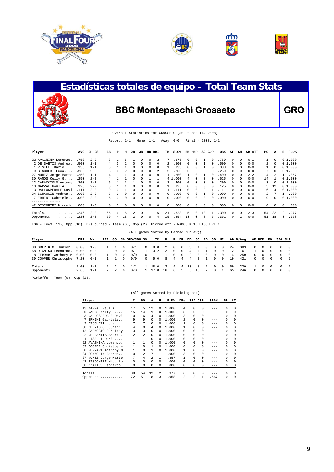



### **Estadísticas totales de equipo – Total Team Stats**



### BBC Montepaschi Grosseto **GRO**

|  |  | Overall Statistics for GROSSETO (as of Sep 14, 2008) |  |  |  |  |  |  |  |  |
|--|--|------------------------------------------------------|--|--|--|--|--|--|--|--|
|--|--|------------------------------------------------------|--|--|--|--|--|--|--|--|

Record: 1-1 Home: 1-1 Away: 0-0 Final 4 2008: 1-1

| Player                                                                                         | AVG   | GP-GS   | AВ | R  | н          | 2в       | 3В           | HR RBI |              | TВ           | SLG <sup>8</sup> | BB | HBP        | SO GDP     |          | OB%   | SF       | SН       | <b>SB-ATT</b> | PO. | А          | Е             | FLD%   |
|------------------------------------------------------------------------------------------------|-------|---------|----|----|------------|----------|--------------|--------|--------------|--------------|------------------|----|------------|------------|----------|-------|----------|----------|---------------|-----|------------|---------------|--------|
| 22 AVAGNINA Lorenzo.                                                                           | .750  | $2 - 2$ | 8  |    | 6          |          |              |        | 2            |              | .875             |    | 0          |            | 0        | .750  | 0        | $\Omega$ | $0 - 1$       |     | 0          |               | 01.000 |
| 2 DE SANTIS Andrea.                                                                            | .500  | $1 - 1$ |    |    |            | 0        | 0            |        |              |              | .500             |    |            |            |          | .500  | 0        | $\Omega$ | $0 - 0$       | 2.  | 0          |               | 01.000 |
| 1 PISELLI Dario                                                                                | . 333 | $1 - 1$ |    |    |            | 0        | $\Omega$     | 0      | n            |              | .333             |    |            |            |          | . 333 | 0        | n        | $0 - 0$       |     | 0          |               | 01.000 |
| 9 BISCHERI Luca                                                                                | . 250 | $2 - 2$ | 8  |    |            | $\Omega$ | $\Omega$     | 0      |              |              | .250             |    |            |            |          | .250  | 0        | n        | $0 - 0$       | 7   | O          |               | 01.000 |
| 27 NUNEZ Jorge Marte                                                                           | .250  | $1 - 1$ | 4  |    |            | U        | <sup>n</sup> |        |              |              | .250             |    |            |            |          | .400  | 0        | $\Omega$ | $2 - 2$       | 4   |            |               | 1.857  |
| 30 RAMOS Kelly G                                                                               | . 250 | $2 - 2$ |    |    |            | 0        | 0            |        |              |              | 4 1.000          |    |            |            | 0        | .625  | 0        | n        | $0 - 0$       | 14  |            |               | 01.000 |
| 12 CARACCIOLO Antony                                                                           | .200  | $2 - 1$ |    |    |            |          |              |        |              |              | .400             |    |            |            |          | .200  | 0        | n        | $0 - 0$       | 3   |            |               | 01.000 |
| 13 MARVAL Raul A                                                                               | .125  | $2 - 2$ |    |    |            |          |              | 0      |              |              | .125             |    |            |            |          | .125  | 0        | n        | $0 - 0$       | 5.  | 12         |               | 01.000 |
| 3 DALLOSPEDALE Davi                                                                            | .111  | $2 - 2$ | 9  |    |            | n        |              |        |              |              | . 111            |    |            |            |          | 111   | 0        | 0        | $0 - 0$       | 6.  |            |               | 01.000 |
| 34 SGNAOLIN Andrea.                                                                            | .000  | $2 - 2$ |    | U  | $\Omega$   | 0        | $\Omega$     | n      |              | <sup>n</sup> | .000             |    |            |            |          | .000  | $\Omega$ | $\Omega$ | $0 - 0$       | 2.  |            |               | .900   |
| 7 ERMINI Gabriele                                                                              | .000  | $2 - 2$ | 5. |    | $\Omega$   | n        | $\Omega$     | n      | <sup>n</sup> | $\Omega$     | .000             |    |            | ર          | $\Omega$ | .000  | $\Omega$ | n        | $0 - 0$       | 9   | $\Omega$   |               | 01.000 |
| 42 BISCONTRI Niccolo                                                                           | .000  | $1 - 0$ | 0  | 0  | $^{\circ}$ | 0        | $\Omega$     | 0      | 0            | $^{\circ}$   | .000             | 0  | $^{\circ}$ | $^{\circ}$ | 0        | .000  | $\Omega$ | 0        | $0 - 0$       | 0   | $^{\circ}$ | 0             | .000   |
|                                                                                                |       |         |    |    |            |          |              |        |              |              |                  |    |            |            |          |       |          |          |               |     |            |               |        |
| Totals                                                                                         | .246  | $2 - 2$ | 65 | б. | 16         |          |              |        | б.           | 2.1          | .323             | 5. | $\Omega$   | 13         |          | .300  | $\Omega$ | $\Omega$ | $2 - 3$       | 54  | 32         | $\mathcal{L}$ | .977   |
| Opponents                                                                                      | .220  | $2 - 2$ | 59 | 4  | 13         |          |              | 0      | 4            | 15           | .254             | 13 | 0          | 8          | 5        | .361  | 0        | 2        | $0 - 0$       | 51  | 18         | 3             | .958   |
| LOB - Team (13), Opp (16). DPs turned - Team (6), Opp (2). Picked off - RAMOS K 1, BISCHERI 1. |       |         |    |    |            |          |              |        |              |              |                  |    |            |            |          |       |          |          |               |     |            |               |        |

|                           |            |         |     |          |          | (All games Sorted by Earned run avg) |            |      |                |            |          |         |    |                      |          |            |    |          |            |          |          |                  |     |
|---------------------------|------------|---------|-----|----------|----------|--------------------------------------|------------|------|----------------|------------|----------|---------|----|----------------------|----------|------------|----|----------|------------|----------|----------|------------------|-----|
| Player                    | <b>ERA</b> | W-L     | APP | GS       |          | CG SHO/CBO SV                        |            | IP.  | н              | R          | ER       | ВB      | so | 2B                   | 3B       | HR         |    | AB B/Avq |            | WP HBP   | вĸ       | SFA SHA          |     |
| 38 OBERTO O. Junior.      | 0.00       | $1 - 0$ |     |          |          | 0/1                                  | $\Omega$   | 8.0  |                | 0          | $^{(1)}$ |         | 4  | $\left( \right)$     | $\cup$   | $\Omega$   | 24 | .083     | $\Omega$   | $^{(1)}$ |          | $\left( \right)$ |     |
| 68 D'AMICO Leonardo.      | 0.00       | $0 - 0$ | 2   | $\Omega$ | $\Omega$ | 0/1                                  |            | 3.2  | $\mathfrak{D}$ | $^{\circ}$ | $\Omega$ | 4       |    |                      |          | 0          | 12 | .167     |            |          |          | $\Omega$         |     |
| 8 FERRARI Anthony M 0.00  |            | $0 - 0$ |     | 0        | $\Omega$ | 0/0                                  | $^{\circ}$ | 1.1  |                | 0          | 0        | 2       | 0  | 0                    | $\Omega$ | 0          | 4  | .250     | $^{\circ}$ | 0        | $\Omega$ | 0                |     |
| 39 COOPER Christophe 7.20 |            | $0 - 1$ |     |          |          | 0/0                                  |            | 5.0  |                |            |          |         |    |                      |          |            | 19 | .421     |            |          |          | $\cap$           |     |
| Totals                    | 2.00       | $1 - 1$ | 2   |          |          | 1/1                                  |            | 18.0 | 13             | 4          | 4        | $\pm 3$ | 8  | $\mathbf{2}^{\circ}$ | $\cap$   | $^{\circ}$ | 59 | .220     |            |          |          | $\cap$           | - 2 |
| Opponents                 | 2.65       | $1 - 1$ |     |          |          | 0/0                                  |            | . 0  | 16             | 6.         |          | ь.      |    |                      |          |            | 65 | .246     | $\Omega$   |          |          | <sup>n</sup>     |     |

Pickoffs - Team (0), Opp (2).

|     | Player               | C        | PO             | A              | Е            | FLD%  | $_{\rm DPS}$            |                | SBA CSB      | $SBA\$  | PB       | CI       |
|-----|----------------------|----------|----------------|----------------|--------------|-------|-------------------------|----------------|--------------|---------|----------|----------|
|     | 13 MARVAL Raul A     | 17       | 5              | 12             | $\Omega$     | 1,000 | 4                       | $\Omega$       | $\Omega$     | $- - -$ | $\Omega$ | $\Omega$ |
|     | 30 RAMOS Kelly G     | 15       | 14             | 1              | $\Omega$     | 1,000 | 3                       | $\Omega$       | $\Omega$     | $- - -$ | $\Omega$ | $\Omega$ |
|     | 3 DALLOSPEDALE Davi  | 10       | 6              | 4              | 0            | 1,000 | 3                       | $\Omega$       | $\Omega$     | $- - -$ | $\Omega$ | $\Omega$ |
|     | 7 ERMINI Gabriele    | 9        | 9              | $\Omega$       | <sup>n</sup> | 1,000 | $\mathfrak{D}$          |                | $\Omega$     | $- - -$ | $\Omega$ | $\Omega$ |
|     | 9 BISCHERI Luca      | 7        | 7              | $\Omega$       | 0            | 1,000 | 1                       | $\Omega$       | $\Omega$     | $- - -$ | $\Omega$ | $\Omega$ |
|     | 38 OBERTO O. Junior. | 4        | 0              | 4              | 0            | 1,000 | 1                       | $\Omega$       | $\Omega$     | $- - -$ | $\Omega$ | $\Omega$ |
|     | 12 CARACCIOLO Antony | 3        | 3              | 0              | 0            | 1,000 | 0                       | $\Omega$       | $\Omega$     | $- - -$ | $\Omega$ | $\Omega$ |
|     | 2 DE SANTIS Andrea.  | 2        | $\mathfrak{D}$ | 0              | <sup>n</sup> | 1,000 | 0                       | $\Omega$       | $\Omega$     | $- - -$ | $\Omega$ | $\Omega$ |
|     | 1 PISELLI Dario      | 1        | $\mathbf{1}$   | 0              | $\Omega$     | 1,000 | 0                       | $\Omega$       | $\Omega$     | $- - -$ | $\Omega$ | $\Omega$ |
| 2.2 | AVAGNINA Lorenzo.    | 1        | 1              | $\Omega$       | 0            | 1,000 | 0                       | $\Omega$       | $\Omega$     | $- - -$ | $\Omega$ | $\Omega$ |
|     | 39 COOPER Christophe | 1        | 0              |                | 0            | 1,000 | 0                       | $\Omega$       | $\Omega$     | $- - -$ | $\Omega$ | $\Omega$ |
| 8   | FERRARI Anthony M    | 1        | 0              | 1              | <sup>n</sup> | 1,000 |                         | $\Omega$       | $\Omega$     | $- - -$ | $\Omega$ | $\Omega$ |
| 34  | SGNAOLIN Andrea      | 10       | $\mathfrak{D}$ | 7              | 1            | .900  | 3                       | $\Omega$       | $\Omega$     | $- - -$ | $\Omega$ | $\Omega$ |
|     | 27 NUNEZ Jorge Marte | 7        | 4              | $\mathfrak{D}$ | 1            | .857  |                         | $\Omega$       | $\Omega$     | $- - -$ | $\Omega$ | $\Omega$ |
|     | 42 BISCONTRI Niccolo | $\Omega$ | 0              | <sup>n</sup>   | $\cap$       | .000  | <sup>n</sup>            | $\Omega$       | $\Omega$     | $- - -$ | 0        | $\Omega$ |
|     | 68 D'AMICO Leonardo. | 0        | 0              | 0              | $\Omega$     | .000  | 0                       | $\Omega$       | $\Omega$     | $- - -$ | 0        | 0        |
|     | $Totals$             | 88       | 54             | 32             | 2            | .977  | 6                       | $\Omega$       | 0            | $- - -$ | $\Omega$ | $\Omega$ |
|     | Opponents            | 72       | 51             | 18             | 3            | .958  | $\overline{\mathbf{c}}$ | $\mathfrak{D}$ | $\mathbf{1}$ | .667    | 0        | 0        |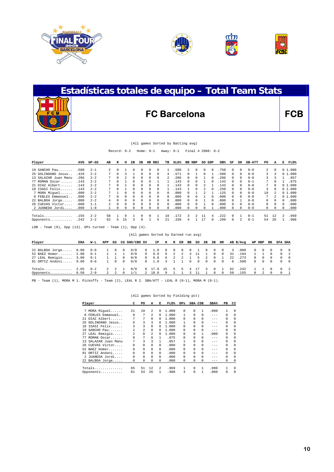





# **Estadísticas totales de equipo – Total Team Stats FC Barcelona FCB**

#### (All games Sorted by Batting avg)

Record: 0-2 Home: 0-1 Away: 0-1 Final 4 2008: 0-2

| Player               | AVG  | $GP-GS$ | AВ | R        | н        | 2B       | зв           | HR RBI   |          | TВ       | $SLG\%$ | BB HBP       |            | SO GDP       |              | OB%  | SF           | SH       | <b>SB-ATT</b> | PO           | А          | Е              | FLD%      |
|----------------------|------|---------|----|----------|----------|----------|--------------|----------|----------|----------|---------|--------------|------------|--------------|--------------|------|--------------|----------|---------------|--------------|------------|----------------|-----------|
|                      |      | $2 - 1$ | 2  |          |          |          |              |          |          |          |         | $\mathbf{2}$ |            | 0            |              |      | 0            |          | $0 - 0$       | $\mathbf{2}$ |            |                | 01.000    |
| $19$ SANCHO Pau      | .500 |         |    | $\Omega$ |          |          |              | 0        | 0        |          | .500    |              | $\Omega$   |              | $\Omega$     | 750  |              | $\Omega$ |               |              | $\Omega$   |                |           |
| 25 GOLINDANO Jesus   | .429 | $2 - 2$ |    |          |          |          |              | $\Omega$ | 0        | 4        | 571     | U.           |            | <sup>n</sup> |              | 500  |              |          | $0 - 0$       | 3.           | ς          | 0 <sub>1</sub> | 1.000     |
| 13 SALAZAR Juan Manu | .286 | $2 - 2$ |    |          |          |          |              |          | 0        |          | 286     |              |            |              |              | 286  |              |          | $0 - 0$       | 3            |            |                | .857      |
| 77 ROMAN Oscar       | .143 | $2 - 2$ |    | $\Omega$ |          |          |              |          |          |          | .143    | U            | $^{\circ}$ |              | $\mathbf{0}$ | 143  |              |          | $0 - 1$       |              | $^{\circ}$ |                | .875      |
| 21 DIAZ Albert.      | .143 | $2 - 2$ |    |          |          |          |              |          |          |          | 143     | U            | $\Omega$   |              |              | 143  |              |          | $0 - 0$       |              |            |                | 01.000    |
| 18 ISASI Felix.      | .143 | $2 - 2$ |    |          |          |          |              |          |          |          | 143     |              | $\Omega$   |              |              | 250  |              |          | $0 - 0$       | 3.           |            |                | 01.000    |
| 7 MORA Miquel        | .000 | $2 - 2$ |    |          |          | $\Omega$ |              | $\Omega$ | 0        | 0        | .000    |              |            |              |              | 125  |              |          | $0 - 0$       | 19           |            |                | 01.000    |
| 8 FEBLES Emmanuel    | .000 | $2 - 2$ | 7  | $\Omega$ | $\Omega$ | $\Omega$ | <sup>n</sup> | $\Omega$ | $\Omega$ | $\Omega$ | 000     | <sup>n</sup> |            |              |              | .000 | $\Omega$     |          | $0 - 0$       | 7            | 2          |                | 0, 1, 000 |
| 22 BALBOA Jorge      | .000 | $2 - 2$ | 4  |          |          |          |              | 0        | $\Omega$ | 0        | .000    |              |            |              |              | 000  |              |          | $0 - 0$       | 0            |            | U              | .000      |
| 26 CUEVAS Victor.    | .000 | $1 - 1$ |    | $\Omega$ |          |          |              | 0        | $\Omega$ | $\Omega$ | .000    |              |            |              | $\Omega$     | .000 |              |          | $0 - 0$       | 0            | $\Omega$   | 0              | .000      |
| 2 JUANEDA Jordi      | .000 | $1 - 0$ |    |          |          |          |              |          |          | 0        | .000    |              |            |              |              | 000  |              |          | $0 - 0$       | 0            | $\Omega$   | 0              | .000      |
| $Totals$             | .155 | $2 - 2$ | 58 |          | q        |          |              |          |          | 10       |         | 3.           |            |              |              | 222  | $\Omega$     |          | $0 - 1$       | 51           | 12         | 2              | .969      |
| Opponents            | .242 | $2 - 2$ | 62 | ъ.       | 15       |          |              |          | ь        |          | 339     |              |            |              |              | 299  | <sup>0</sup> |          | $0 - 1$       | 54           | 26         |                | .988      |

LOB - Team (9), Opp (13). DPs turned - Team (1), Opp (4).

|                      |      |         |     |                |          | (All games Sorted by Earned run avg) |            |         |    |          |    |          |          |              |          |            |      |          |                  |            |          |          |                |
|----------------------|------|---------|-----|----------------|----------|--------------------------------------|------------|---------|----|----------|----|----------|----------|--------------|----------|------------|------|----------|------------------|------------|----------|----------|----------------|
| Player               | ERA  | W-L     | APP | GS             |          | CG SHO/CBO SV                        |            | IP.     | н  | R        | ER | BB       | so       | 2B           | 3B       | HR         |      | AB B/Avg |                  | WP HBP     | ΒК       | SFA SHA  |                |
| 22 BALBOA Jorge 0.00 |      | $0 - 0$ |     | $^{\circ}$     | 0        | 0/0                                  | $^{\circ}$ | 1.0     |    | $\Omega$ | -0 | 0        |          | $^{(1)}$     |          | $^{(1)}$   | 3    | .000     | $\left( \right)$ | $\Omega$   |          | $\Omega$ |                |
| 52 BAEZ Homer        | 2.00 | $0 - 1$ |     |                |          | 0/0                                  | $\Omega$   | 9.0     | 6  | 2        |    |          |          |              | $\Omega$ | 0          | 31   | .194     |                  |            | $\Omega$ | $\Omega$ | $\overline{2}$ |
| 27 LEAL Remigio      | 3.00 | $0 - 1$ |     |                | $\Omega$ | 0/0                                  | $\Omega$   | 6.0     | 6  | 2        |    |          | 5        | $\mathbf{2}$ | $\Omega$ |            | 22.2 | .273     | $\Omega$         | 0          | $\Omega$ | $\Omega$ | - 0            |
| 81 ORTIZ Andoni      | 9.00 | $0 - 0$ |     | $^{\circ}$     | 0        | 0/0                                  | $\Omega$   | 1.0     | 3  |          |    | $\Omega$ | $\Omega$ | $\Omega$     | $\Omega$ | $^{\circ}$ | 6.   | .500     | $\Omega$         | $^{\circ}$ | $\Omega$ | 0        | - 0            |
| Totals               | 2.65 | $0 - 2$ | 2   | $\overline{2}$ |          | 0/0                                  |            | 0, 17.0 | 15 | 5.       | 5. | 4        |          |              | $\cap$   |            | 62   | .242     |                  |            |          | $\Omega$ | - 2            |
| Opponents            | 0.50 | $2 - 0$ |     |                |          |                                      |            | 18.0    |    |          |    |          |          |              |          |            | 58   | .155     |                  |            |          | $\Omega$ |                |

PB - Team (1), MORA M 1. Pickoffs - Team (2), LEAL R 2. SBA/ATT - LEAL R (0-1), MORA M (0-1).

| Player |                   | c        | PO             | A              | Е            | FLD%  | $_{\rm DPS}$ |          | SBA CSB  | $SBA\$  | PB CI    |          |
|--------|-------------------|----------|----------------|----------------|--------------|-------|--------------|----------|----------|---------|----------|----------|
|        | 7 MORA Miquel     | 21       | 19             | 2              | $\Omega$     | 1,000 | 0            | $\Omega$ | 1        | .000    | 1        | $\Omega$ |
| 8.     | FEBLES Emmanuel   | 9        | 7              | 2              | $\Omega$     | 1,000 |              | $\Omega$ | $\Omega$ | $- - -$ | $\Omega$ | $\Omega$ |
| 21.    | DIAZ Albert       | 7        | 7              | 0              | 0            | 1,000 | 0            | $\Omega$ | 0        | $- - -$ | $\Omega$ | 0        |
| 25     | GOLINDANO Jesus   | 6        | 3              | 3              | $\Omega$     | 1,000 |              | $\Omega$ | 0        | $- - -$ | $\Omega$ | $\Omega$ |
| 18     | ISASI Felix       | 3        | 3              | 0              | $\Omega$     | 1,000 | O.           | $\Omega$ | $\Omega$ | $- - -$ | $\Omega$ | 0        |
| 19     | SANCHO Pau        | 2        | $\mathfrak{D}$ | 0              | <sup>n</sup> | 1,000 | O.           | $\Omega$ | $\Omega$ | $- - -$ | $\Omega$ | 0        |
|        | 27 LEAL Remigio   | 2        | $\Omega$       | $\mathfrak{D}$ | $\Omega$     | 1,000 | O.           | $\cap$   | 1        | .000    | $\Omega$ | 0        |
|        | 77 ROMAN Oscar    | 8        | 7              | 0              |              | .875  | O.           | $\Omega$ | $\Omega$ | $- - -$ | $\Omega$ | 0        |
| 13.    | SALAZAR Juan Manu | 7        | 3              | 3              | 1            | .857  |              | $\Omega$ | $\Omega$ | $- - -$ | $\Omega$ | 0        |
|        | 26 CUEVAS Victor  | 0        | $\Omega$       | 0              | $\Omega$     | .000  | 0            | $\Omega$ | $\Omega$ | $- - -$ | $\Omega$ | 0        |
| 52     | BAEZ Homer        | 0        | 0              | 0              | $\Omega$     | .000  | 0            | $\Omega$ | $\Omega$ | $- - -$ | $\Omega$ | $\Omega$ |
| 81     | ORTIZ Andoni      | $\Omega$ | $\Omega$       | 0              | $\Omega$     | .000  | <sup>n</sup> | $\Omega$ | $\Omega$ | $- - -$ | $\Omega$ | 0        |
|        | 2 JUANEDA Jordi   | 0        | 0              | 0              | $\Omega$     | .000  | 0            | $\Omega$ | $\Omega$ | $- - -$ | $\Omega$ | 0        |
|        | 22 BALBOA Jorge   | 0        | 0              | 0              | $\Omega$     | .000  | 0            | $\Omega$ | $\Omega$ | $- - -$ | 0        | 0        |
|        | Totals            | 65       | 51             | 12             | 2            | .969  |              | $\Omega$ |          | .000    | 1        | $\cap$   |
|        | Opponents         | 81       | 54             | 26             | 1            | .988  | 4            | $\Omega$ |          | .000    | 0        | $\Omega$ |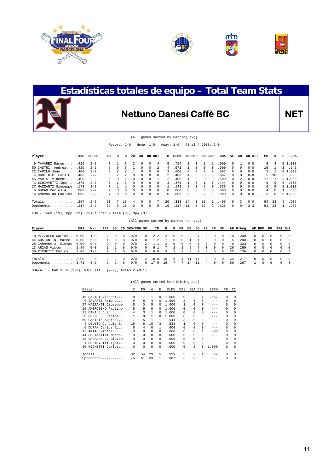





### **Estadísticas totales de equipo – Total Team Stats**

### **Nettuno Danesi Caffè BC** NET

#### (All games Sorted by Batting avg)

Record: 2-0 Home: 1-0 Away: 1-0 Final 4 2008: 2-0

| Player               | AVG   | GP-GS   | AВ | R             | н             | 2B       | 3B       | HR RBI   |          | TВ           | $SLG\%$ | BB HBP        |            | SO GDP        |                | OB%   | SF         | SH           | <b>SB-ATT</b> | PO       | А        |    | E FLD% |
|----------------------|-------|---------|----|---------------|---------------|----------|----------|----------|----------|--------------|---------|---------------|------------|---------------|----------------|-------|------------|--------------|---------------|----------|----------|----|--------|
| 9 TAVAREZ Ramon      | .429  | $2 - 2$ |    |               |               |          | 0        | $\Omega$ | 4        | 5.           | .714    |               | $^{\circ}$ |               |                | .500  | $^{\circ}$ |              | $0 - 0$       | 5.       | 4        |    | 01.000 |
| 50 CASTRI' Andrea    | .429  | $2 - 2$ |    | $\Omega$      |               |          | 0        | $\Omega$ | 2        | 4            | 571     |               | $\Omega$   | $\Omega$      | $\Omega$       | .500  | $\Omega$   | $\Omega$     | $0 - 0$       | 1.5      |          |    | .941   |
| $22$ CAMILO Juan     | .400  | $2 - 2$ |    |               |               |          | 0        | $\Omega$ | $\Omega$ |              | .600    | 4             | $\Omega$   | $\mathcal{L}$ | $^{\circ}$     | . 667 | 0          | 0            | $0 - 0$       | 3        |          |    | 01.000 |
| 4 UGUETO C. Luis E.  | .400  | $2 - 2$ | 5. | $\mathcal{L}$ | $\mathcal{L}$ | $\Omega$ | 0        | $\Omega$ | 0        | $\mathbf{2}$ | .400    | 4             | $\Omega$   | $\Omega$      | $\Omega$       | . 667 | $^{\circ}$ | 0            | $0 - 0$       | 5.       | 10       |    | 3.833  |
| 45 PARISI Vincent    | . 400 | $2 - 2$ | 5. | $\Omega$      |               | $\cap$   | $\Omega$ | $\Omega$ |          |              | .400    |               | $\Omega$   | $\Omega$      | $\Omega$       | .500  | $\Omega$   |              | $0 - 0$       | 17       |          |    | 01.000 |
| 1 SCHIAVETTI Igor    | .375  | $2 - 2$ |    |               |               | $\Omega$ | 0        | $\Omega$ | $\Omega$ |              | .375    |               | $\Omega$   |               | $\Omega$       | .444  | 0          | $\Omega$     | $0 - 0$       | $\Omega$ | 0        | 0  | .000   |
| 27 MAZZANTI Giuseppe | .143  | $2 - 2$ |    |               |               | $\cap$   | ∩.       | $\Omega$ | $\Omega$ |              | .143    | $\mathcal{L}$ | $\Omega$   | $\mathcal{L}$ | $^{\circ}$     | . 333 | $\Omega$   | $\cap$       | $0 - 0$       | $\Omega$ | 5.       |    | 01.000 |
| 6 DURAN Carlos A     | .000  | $2 - 2$ | 9. | $\Omega$      | $\Omega$      | $\Omega$ | $\Omega$ | $\Omega$ | $\Omega$ | $\Omega$     | .000    | $\cap$        | $\Omega$   | 3             | $\Omega$       | .000  | $\Omega$   | $\Omega$     | $0 - 0$       | 4        | $\cap$   |    | .800   |
| 16 AMBROSINO Paolino | .000  | $2 - 2$ |    | $\Omega$      |               |          |          | 0        | 0        | $\Omega$     | .000    | 0             | $\Omega$   | 2.            | $\Omega$       | .000  | 0          | <sup>n</sup> | $0 - 0$       | 5.       | $\Omega$ |    | 01.000 |
| Totals               | . 267 | $2 - 2$ | 60 |               | 16            |          |          | $\Omega$ |          | $20 \Omega$  | . 333   | 14            | $\Omega$   |               |                | 405   | $\Omega$   | २            | $0 - 0$       | 54       | 23       | 5. | .939   |
| Opponents            | .217  | $2 - 2$ | 69 | 5.            | 15            |          | U.       | $\Omega$ | 5.       | 15           | 217     | 11            | $\Omega$   | 17            | $\mathfrak{D}$ | .325  | $\Omega$   | 0            | $2 - 3$       | 51       | 23       |    | .987   |
|                      |       |         |    |               |               |          |          |          |          |              |         |               |            |               |                |       |            |              |               |          |          |    |        |

LOB - Team (19), Opp (21). DPs turned - Team (3), Opp (3).

|                      |      |         |             |               |          | (All games Sorted by Earned run avg) |            |       |        |               |   |              |    |            |          |          |      |          |              |            |          |          |          |
|----------------------|------|---------|-------------|---------------|----------|--------------------------------------|------------|-------|--------|---------------|---|--------------|----|------------|----------|----------|------|----------|--------------|------------|----------|----------|----------|
| Player               | ERA  | W-L     | APP         | GS            |          | CG SHO/CBO SV                        |            | IP.   | н      | R             |   | ER BB        | so | 2B         | 3B HR    |          |      | AB B/Avg |              | WP HBP     | ΒК       | SFA SHA  |          |
| 8 PEZZULLO Carlos    | 0.00 | $1 - 0$ | 2.          | $\Omega$      |          | 0/0                                  | $^{\circ}$ | 2.2   | 2      | $\Omega$      | 0 |              |    | 0          | 0        | $\Omega$ | 10   | .200     | 0            | $^{\circ}$ |          |          | - 0      |
| 44 COSTANTINI Marco. | 0.00 | $0 - 0$ |             | $\Omega$      | $\Omega$ | 0/0                                  | $^{\circ}$ | 12    |        | $\Omega$      |   |              |    | $\Omega$   | $\Omega$ | $\Omega$ | .5   | . 200    | $\Omega$     | $\Omega$   | $\Omega$ | $\cap$   | $\Omega$ |
| 28 CARRARA J. Giovan | 0.00 | $0 - 0$ | $2^{\circ}$ | $\Omega$      | $\Omega$ | 0/0                                  | 2          | $1$ . | $^{2}$ | $\Omega$      | 0 | <sup>n</sup> |    | 0          | 0        | $\Omega$ | -6   | .333     | $\Omega$     | $\Omega$   | $\Omega$ | $\cap$   | $\Omega$ |
| 13 ARIAS Victor      | 2.84 | $0 - 0$ |             |               | 0        | 0/0                                  | $^{\circ}$ | 6.1   |        | $\mathcal{L}$ |   | $\mathbf{h}$ |    | 0          | $\Omega$ | $\Omega$ | 26   | .269     | $\Omega$     | $\Omega$   | $\Omega$ | $\Omega$ | - 0      |
| 36 RICHETTI Carlos   | 3.00 | $1 - 0$ |             |               | $\Omega$ | 0/0                                  | $\Omega$   | 6.0   |        |               |   |              | 4  | $\Omega$   | $\Omega$ | $\Omega$ | 2.2. | .136     | $\Omega$     | $\Omega$   | $\Omega$ | $\Omega$ | $\Omega$ |
| Totals               | 2.00 | $2 - 0$ | 2           | -2.           | $\Omega$ | 0/0                                  | 2          | 18.0  | 15     |               |   |              |    | $^{\circ}$ | 0        | $\Omega$ | 69   | .217     | $\mathbf{r}$ | $^{\circ}$ | $\Omega$ | $\Omega$ | - 0      |
| Opponents            | 3.71 | $0 - 2$ | $2^{\circ}$ | $\mathcal{L}$ | $\Omega$ | 0/0                                  | $\Omega$   | 17.0  | 16     |               |   | 14           |    | 4          | $\cap$   | $\Omega$ | 60   | .267     |              | $\Omega$   | $\Omega$ |          | ્ર       |
|                      |      |         |             |               |          |                                      |            |       |        |               |   |              |    |            |          |          |      |          |              |            |          |          |          |

SBA/ATT - PARISI V  $(2-3)$ , RICHETTI C  $(2-2)$ , ARIAS V  $(0-1)$ .

|    | Player               | C        | PO.      | Α        | E.       | FLD%  | DPs          | SBA CSB      |   | SBA%    | PB.      | CI       |
|----|----------------------|----------|----------|----------|----------|-------|--------------|--------------|---|---------|----------|----------|
|    |                      |          |          |          |          |       |              |              |   |         |          |          |
|    | 45 PARISI Vincent    | 18       | 17       | 1        | 0        | 1,000 | $\Omega$     | 2            | 1 | .667    | 0        | 0        |
| 9  | TAVAREZ Ramon        | 9        | 5        | 4        | 0        | 1,000 | 2            |              | 0 | $- - -$ | $\Omega$ | 0        |
|    | 27 MAZZANTI Giuseppe | 5        | 0        | 5        | 0        | 1,000 |              |              | 0 | $- - -$ | $\Omega$ | 0        |
|    | 16 AMBROSINO Paolino | 5        | 5        | $\Omega$ | 0        | 1,000 | $\Omega$     |              | 0 | $- - -$ | $\Omega$ | 0        |
|    | 22 CAMILO Juan       | 4        | 3        |          | 0        | 1,000 | $\Omega$     |              | 0 | $- - -$ | $\Omega$ | $\Omega$ |
| 8. | PEZZULLO Carlos      |          | 0        |          | 0        | 1,000 | 0            |              | 0 | $- - -$ | $\Omega$ | 0        |
|    | 50 CASTRI' Andrea    | 17       | 15       |          |          | .941  | 3            |              | 0 | $- - -$ | $\Omega$ | 0        |
|    | 4 UGUETO C. Luis E.  | 18       | 5        | 10       | 3        | .833  |              |              | 0 | $- - -$ | 0        | $\Omega$ |
|    | 6 DURAN Carlos A     | 5        | 4        | $\Omega$ | 1        | .800  | <sup>n</sup> |              | 0 | $- - -$ | $\Omega$ | 0        |
|    | 13 ARIAS Victor      | $\Omega$ | $\Omega$ | $\Omega$ | 0        | .000  | $\Omega$     | <sup>n</sup> | 1 | .000    | $\Omega$ | $\Omega$ |
|    | 44 COSTANTINI Marco. | 0        | $\Omega$ | $\Omega$ | 0        | .000  | $\Omega$     | <sup>n</sup> | 0 | $- - -$ | $\Omega$ | $\Omega$ |
|    | 28 CARRARA J. Giovan | 0        | $\Omega$ | $\Omega$ | $\Omega$ | .000  | $\Omega$     |              | 0 | $- - -$ | $\Omega$ | $\Omega$ |
|    | 1 SCHIAVETTI Igor    | 0        | $\Omega$ | $\Omega$ | $\Omega$ | .000  | $\Omega$     | <sup>n</sup> | 0 | $- - -$ | $\Omega$ | $\Omega$ |
|    | 36 RICHETTI Carlos   | 0        | 0        | 0        | 0        | .000  | 0            | 2            | 0 | 1,000   | 0        | 0        |
|    |                      |          |          |          |          |       |              |              |   |         |          |          |
|    | Totals               | 82       | 54       | 23       | 5        | .939  | 3            | 2            |   | .667    | $\Omega$ | $\Omega$ |
|    | Opponents            | 75       | 51       | 23       | 1        | .987  | 3            |              | 0 | $- - -$ | 0        | $\Omega$ |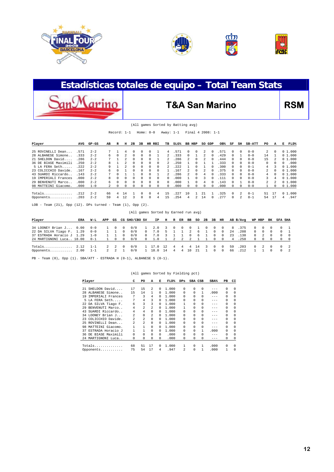

anMarino





### **Estadísticas totales de equipo – Total Team Stats**

### T&A San Marino RSM

| (All games Sorted by Batting avg) |
|-----------------------------------|
|-----------------------------------|

Record: 1-1 Home: 0-0 Away: 1-1 Final 4 2008: 1-1

| Player                                                            | AVG   | GP-GS   | AВ | R | н              | 2B       | 3B       |         | HR RBI   | TВ | $SLG\%$ | BB HBP     |   | SO GDP        |   | OB%   | SF | SH            | <b>SB-ATT</b> | PO             | A        | FLD%<br>к |
|-------------------------------------------------------------------|-------|---------|----|---|----------------|----------|----------|---------|----------|----|---------|------------|---|---------------|---|-------|----|---------------|---------------|----------------|----------|-----------|
| 25 ROVINELLI Dean                                                 | .571  | $2 - 2$ |    |   | 4              |          | $\Omega$ |         |          | 4  | 571     | $^{\circ}$ | 0 | 2             | 0 | .571  | 0  | $\Omega$      | $0 - 0$       | $\mathcal{L}$  | $\Omega$ | 01.000    |
| 28 ALBANESE Simone                                                | .333  | $2 - 2$ | 6  | 0 | $\mathfrak{D}$ | $\Omega$ | $\Omega$ |         |          |    | .333    | $\Omega$   |   | $\mathcal{L}$ | 0 | .429  | 0  |               | $0 - 0$       | 14             |          | 01.000    |
| 21 SHELDON David                                                  | .286  | $2 - 2$ |    |   |                | 0        | $\Omega$ |         |          |    | 286     |            | 0 | 2             | 0 | 444   |    |               | $0 - 0$       | 15             |          | 01.000    |
| 36 DE BIASE Maximili                                              | . 250 | $2 - 2$ | 8  |   |                | 0        | $\Omega$ |         | $\Omega$ |    | 250     |            |   |               |   | 333   | 0  |               | $0 - 0$       | $\Omega$       | 0        | .000<br>0 |
| 5 LA FERA Seth                                                    | .222  | $2 - 2$ | 9  |   |                | 0        | 0        |         | 0        |    | .222    |            |   |               | 0 | 300   | 0  |               | $0 - 1$       | 4              |          | 01.000    |
| 23 COLICCHIO Davide.                                              | .167  | $2 - 2$ | 6  |   |                | 0        | $\Omega$ |         | $\Omega$ |    | .167    |            | 0 | 2             | 0 | .375  | 0  | 0             | $0 - 0$       | $\overline{a}$ | $\Omega$ | 01.000    |
| 43 SUARDI Riccardo.                                               | . 143 | $2 - 2$ |    |   |                |          |          |         |          |    | .286    |            | 0 | 4             | 0 | .333  | 0  | $\cap$        | $0 - 0$       | 4              | $\Omega$ | 01.000    |
| 19 IMPERIALI Frances                                              | .000  | $2 - 2$ | 8  | 0 | 0              | $\Omega$ | $\Omega$ | 0       | $\Omega$ | 0. | .000    |            | 0 | 3             | 0 | 111   | 0  | <sup>n</sup>  | $0 - 0$       | 3              | 4        | 01.000    |
| 29 BENVENUTI Marco.                                               | .000  | $2 - 2$ | 6  |   | 0              | 0        | $\Omega$ |         | $\Omega$ |    | .000    |            |   | 4             |   | 143   |    |               | $0 - 0$       | $\mathfrak{D}$ |          | 01.000    |
| 98 MATTEINI Giacomo.                                              | .000  | $1 - 0$ |    | 0 | 0              | 0        | 0        |         | 0        | 0  | .000    | $\Omega$   |   | 0             | 0 | .000  | 0  |               | $0 - 0$       |                | 0        | 01.000    |
| Totals                                                            | . 212 | $2 - 2$ | 66 | 4 | 14             |          |          |         | 4        | 15 | 227     | 10         |   | 21            |   | . 325 | 0  | $\mathcal{L}$ | $0 - 1$       | 51             | 17       | 01.000    |
| Opponents                                                         | .203  | $2 - 2$ | 59 | 4 | 12             | κ        |          | U       | 4        | 15 | 254     | 4          |   | 14            | 0 | 277   | 0  | 2             | $0 - 1$       | 54             | 17       | .947<br>4 |
| Team $(21)$ , Opp $(12)$ . DPs turned - Team $(1)$ , Opp<br>LOB - |       |         |    |   |                |          |          | $(2)$ . |          |    |         |            |   |               |   |       |    |               |               |                |          |           |

|  |  | (All games Sorted by Earned run avg) |  |  |
|--|--|--------------------------------------|--|--|
|  |  |                                      |  |  |

| Player                    | ERA | W-L     | APP | GS       |            | CG SHO/CBO SV |            | IP            | н     |   | R ER | BB       |            | SO 2B    | 3B         | HR             |    | AB B/Avg        |            | WP HBP         | BK                       | SFA SHA        |
|---------------------------|-----|---------|-----|----------|------------|---------------|------------|---------------|-------|---|------|----------|------------|----------|------------|----------------|----|-----------------|------------|----------------|--------------------------|----------------|
| 34 LOONEY Brian J 0.00    |     | $0 - 0$ |     | $\Omega$ | $\Omega$   | 0/0           |            | 2.0           | 3 0 0 |   |      |          | $0\quad 1$ | $\Omega$ | $\Omega$   |                |    | $0 \t 8 \t 375$ | $\Omega$   | $\Omega$       | - 0                      | $0 \quad 1$    |
| 22 DA SILVA Tiago F. 1.29 |     | $0 - 0$ |     |          | $^{\circ}$ | 0/0           | $^{\circ}$ | 7.0           | 5     |   |      | 2        |            | 61       | $^{\circ}$ | $^{\circ}$     | 24 | .208            | $^{\circ}$ | $\circ$        | $\Omega$                 | $0 \quad 1$    |
| 37 ESTRADA Horacio J 1.29 |     | $1 - 0$ |     |          | $\Omega$   | 0/0           | $^{\circ}$ | 7.0           |       |   |      | $\Omega$ | 6          |          | $\Omega$   | $\Omega$       | 23 | .130            | $\Omega$   | $\overline{2}$ | $\Omega$                 | $\overline{0}$ |
| 24 MARTIGNONI Luca 18.00  |     | $0 - 1$ |     | 1 0      | - 0        | 0/0           |            | $0 \quad 1.0$ | 1 2 2 |   |      |          |            | 2 1 1    | $\Omega$   | $\overline{0}$ | 4  | .250            | 0          | $\Omega$       |                          | $0\qquad 0$    |
| Totals $2.12 \t 1-1$      |     |         |     | 2 2      | - 0        | 0/0           |            | 1 17.0        | 12    |   |      |          | 4 4 4 14 3 |          | $^{\circ}$ | $\overline{0}$ | 59 | .203            |            | $0\quad 2$     | $\overline{\phantom{0}}$ | $0 \quad 2$    |
| Opponents $2.00$          |     | $-1-1$  |     | 2 2      |            | 0/0           |            | 1 18.0        | 14    | 4 | -4   | 10       | - 21       |          | $^{\circ}$ | $^{\circ}$     | 66 | .212            |            |                |                          | $0 \quad 2$    |

PB - Team (0), Opp (1). SBA/ATT - ESTRADA H (0-1), ALBANESE S (0-1).

| Player                  | C              | PO             | A        | Е            | FLD%  | $_{\rm DPS}$            | SBA CSB      |              | SBA%    | PB       | CI       |
|-------------------------|----------------|----------------|----------|--------------|-------|-------------------------|--------------|--------------|---------|----------|----------|
| SHELDON David<br>2.1    | 17             | 15             | 2        | $\Omega$     | 1.000 | $\Omega$                | <sup>n</sup> | 0            | $- - -$ | $\Omega$ | $\Omega$ |
| 28 ALBANESE Simone      | 15             | 14             | 1        | 0            | 1,000 | $\Omega$                | $\Omega$     | 1            | .000    | 0        | $\Omega$ |
| IMPERIALI Frances<br>19 | 7              | 3              | 4        | 0            | 1,000 | $\Omega$                | <sup>n</sup> | 0            | $- - -$ | $\Omega$ | $\Omega$ |
| 5 LA FERA Seth          | 7              | 4              | 3        | 0            | 1,000 | 0                       | 0            | 0            | $- - -$ | $\Omega$ | $\Omega$ |
| 22 DA SILVA Tiago F.    | 6              | 3              | 3        | $\Omega$     | 1,000 |                         | 0            | 0            | $- - -$ | $\Omega$ | $\Omega$ |
| 29 BENVENUTI Marco      | 4              | $\mathfrak{D}$ | 2        | 0            | 1,000 |                         | 0            | 0            | $- - -$ | $\Omega$ | $\Omega$ |
| SUARDI Riccardo<br>43   | 4              | 4              | $\Omega$ | U            | 1,000 | $\cap$                  |              | 0            | $- - -$ | $\Omega$ | $\Omega$ |
| 34 LOONEY Brian J       | $\mathfrak{D}$ | $\Omega$       | 2        | 0            | 1,000 | $\Omega$                | <sup>n</sup> | 0            | $- - -$ | $\Omega$ | $\Omega$ |
| 23 COLICCHIO Davide.    | 2              | $\mathfrak{D}$ | 0        | 0            | 1,000 | $\Omega$                | <sup>n</sup> | 0            | $- - -$ | $\Omega$ | $\Omega$ |
| 25 ROVINELLI Dean       | $\mathfrak{D}$ | $\mathfrak{D}$ | $\Omega$ | <sup>0</sup> | 1,000 | $\Omega$                | <sup>n</sup> | 0            | $- - -$ | $\Omega$ | $\Omega$ |
| MATTEINI Giacomo.<br>98 | 1              |                | $\Omega$ | 0            | 1,000 | $\Omega$                | <sup>n</sup> | $\Omega$     | $- - -$ | $\Omega$ | $\Omega$ |
| ESTRADA Horacio J<br>37 | 1              |                | 0        | $\Omega$     | 1,000 | 0                       | <sup>n</sup> | 1            | .000    | $\Omega$ | $\Omega$ |
| 36 DE BIASE Maximili    | 0              | $\Omega$       | $\Omega$ | $\Omega$     | .000  | $\Omega$                | <sup>n</sup> | <sup>0</sup> | $- - -$ | $\Omega$ | $\Omega$ |
| 24 MARTIGNONI Luca      | 0              | 0              | $\Omega$ | $\Omega$     | .000  | $\Omega$                | 0            | 0            | $- - -$ | 0        | 0        |
|                         | 68             | 51             | 17       | 0            | 1,000 |                         | <sup>n</sup> |              | .000    | $\Omega$ | $\Omega$ |
| Opponents               | 75             | 54             | 17       | 4            | .947  | $\overline{\mathbf{c}}$ |              |              | .000    |          | $\Omega$ |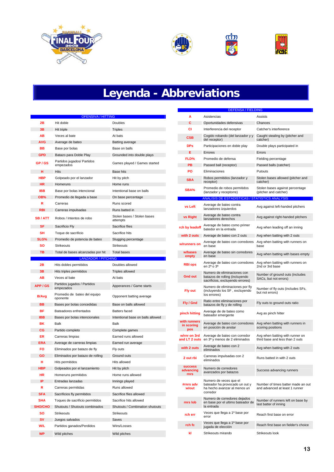







# **Leyenda - Abbreviations**

|               | <b>OFENSIVA / HITTING</b>                |                                         |
|---------------|------------------------------------------|-----------------------------------------|
| 2B            | Hit doble                                | Doubles                                 |
| 3 <b>B</b>    | Hit triple                               | <b>Triples</b>                          |
| ΑВ            | Veces al bate                            | At bats                                 |
| <b>AVG</b>    | Average de bateo                         | Batting average                         |
| BB            | Base por bolas                           | Base on balls                           |
| <b>GPD</b>    | Batazo para Doble Play                   | Grounded into double plays              |
| GP/GS         | Partidos jugados/ Partidos<br>empezados  | Games played / Games started            |
| н             | <b>Hits</b>                              | Base hits                               |
| <b>HBP</b>    | Golpeado por el lanzador                 | Hit by pitch                            |
| HR.           | Homeruns                                 | Home runs                               |
| IBB           | Base por bolas intencional               | Intentional base on balls               |
| OB%           | Promedio de llegada a base               | On base percentage                      |
| R             | Carreras                                 | Runs scored                             |
| <b>RBI</b>    | Carreras impulsadas                      | Runs batted in                          |
| <b>SB/ATT</b> | Robos / Intentos de robo                 | Stolen bases / Stolen bases<br>attempts |
| <b>SF</b>     | Sacrificio Fly                           | Sacrifice flies                         |
| SΗ            | Toque de sacrificio                      | Sacrifice hits                          |
| SLG%          | Promedio de potencia de bateo            | Slugging percentage                     |
| SΟ            | Strikeouts                               | Strikeouts                              |
| TВ            | Total de bases alcanzadas por hit        | <b>Total bases</b>                      |
|               | <b>LANZADOR / PITCHING</b>               |                                         |
| 2В            | Hits dobles permitidos                   | Doubles allowed                         |
| 3 <b>B</b>    | Hits triples permitidos                  | <b>Triples allowed</b>                  |
| AВ            | Veces al bate                            | At bats                                 |
| <b>APP/GS</b> | Partidos jugados / Partidos<br>empezados | Apperances / Game starts                |
| B/Avg         | Promedio de bateo del equipo<br>oponente | Opponent batting average                |
| BB            | Bases por bolas concedidas               | Base on balls allowed                   |
| ΒF            | Bateadores enfrentados                   | Batters faced                           |
| <b>IBB</b>    | Bases por bolas intencionales            | Intentional base on balls allowed       |
| ΒK            | Balk                                     | Balk                                    |
| CG            | Partido completo                         | Complete games                          |
| ER            | Carreras limpias                         | Earned runs allowed                     |
| <b>ERA</b>    | Average de carreras limpias              | Earned run average                      |
| FO            | Eliminados por batazo de fly             | Fly outs                                |
| GO            | Eliminados por batazo de rolling         | Ground outs                             |
| н             | Hits permitidos                          | Hits allowed                            |
| HBP           | Golpeados por el lanzamiento             | Hit by pitch                            |
| <b>HR</b>     | Homeruns permitidos                      | Home runs allowed                       |
| IP.           | Entradas lanzadas                        | Innings played                          |
| R             | Carreras permitidas                      | Runs allowed                            |
| <b>SFA</b>    | Sacrificios fly permitidos               | Sacrifice flies allowed                 |
| <b>SHA</b>    | Toques de sacrificio permitidos          | Sacrifice hits allowed                  |
| SHO/CHO       | Shutouts / Shutouts combinados           | Shutouts / Combination shutouts         |
| SO            | Strikeouts                               | <b>Strikeouts</b>                       |
| <b>SV</b>     | Juegos salvados                          | Saves                                   |
| W/L           | Partidos ganados/Perdidos                | Wins/Losses                             |
| <b>WP</b>     | Wild pitches                             | Wild pitches                            |

|                                            | <b>DEFENSA / FIELDING</b>                                                                            |                                                                      |
|--------------------------------------------|------------------------------------------------------------------------------------------------------|----------------------------------------------------------------------|
| А                                          | Asistencias                                                                                          | Assists                                                              |
| c                                          | Oportunidades defensivas                                                                             | Chances                                                              |
| СI                                         | Interferencia del receptor                                                                           | Catcher's interference                                               |
| CSB                                        | Cogido robando (del lanzador y y<br>del receptor)                                                    | Caught stealing by (pitcher and<br>catcher)                          |
| <b>DPs</b>                                 | Participaciones en doble play                                                                        | Double plays participated in                                         |
| Ε.                                         | Errores                                                                                              | Errors                                                               |
| <b>FLD%</b>                                | Promedio de defensa                                                                                  | Fielding percentage                                                  |
| PB.                                        | Passed ball (receptor)                                                                               | Passed balls (catcher)                                               |
| PO                                         | Eliminaciones                                                                                        | Putouts                                                              |
| SBA                                        | Robos permitidos (lanzador y<br>receptor)                                                            | Stolen bases allowed (pitcher and<br>catcher)                        |
| SBA%                                       | Promedio de robos permitidos<br>(lanzador y receptorre)                                              | Stolen bases against percentage<br>(pitcher and catcher)             |
|                                            | ANALISIS DE ESTADISTICAS / STATISTICS ANALYSIS                                                       |                                                                      |
| vs Left                                    | Average de bateo contra<br>lanzadores izquierdos                                                     | Avg against left-handed pitchers                                     |
| vs Right                                   | Average de bateo contra<br>lanzadores derechos                                                       | Avg against right-handed pitchers                                    |
| rch by leadoff                             | Average de bateo como primer<br>batedor en la entrada                                                | Avg when leading off an inning                                       |
|                                            | with 2 outs Average de bateo con 2 outs                                                              | Avg when batting with 2 outs                                         |
| w/runners on                               | Average de bateo con corredores<br>en base                                                           | Avg when batting with runners on<br>base                             |
| w/bases<br>empty                           | Average de bateo sin corredores<br>en base                                                           | Avg when batting with bases empty                                    |
| <b>RBI ops</b>                             | Average de bateo con corredores<br>en 2ª o 3ª                                                        | Avg when batting with runners on<br>2nd or 3rd base                  |
| <b>Gnd out</b>                             | Numero de eliminaciones con<br>batazos de rolling (incluyendo<br>sacrificios, excluyendo errores)    | Number of ground outs (includes<br>SACs, but not errors)             |
| Fly out                                    | Numero de eliminaciones por fly<br>(incluyendo los SF, excluyendo<br>los errores)                    | Number of fly outs (includes SFs,<br>but not errors)                 |
| Fly / Gnd                                  | Ratio entre eliminaciones por<br>batazos de fly y de rolling                                         | Fly outs to ground outs ratio                                        |
| pinch hitting                              | Average de de bateo como<br>bateador emergente                                                       | Avg as pinch hitter                                                  |
| with runners<br>in scoring<br>pos          | Average de bateo con corredores<br>en posición de anotar                                             | Avg when batting with runners in<br>scoring positions                |
| w/rnr on 3rd<br>and LT 2 outs              | Average de bateo con corredor<br>en 3ª y menos de 2 eliminados                                       | Avg when batting with runner on<br>third base and less than 2 outs   |
| with 2 outs                                | Average de bateo con 2<br>eliminados                                                                 | Avg when batting with 2 outs                                         |
| 2 out rbi                                  | Carreras impulsadas con 2<br>eliminados                                                              | Runs batted in with 2 outs                                           |
| <b>success</b><br>advancing<br><b>rnrs</b> | Numero de corredores<br>avanzados por batazos                                                        | Success advancing runners                                            |
| #rnrs adv<br>w/out                         | Numero de veces que el<br>bateador ha provocado un out y<br>ha hecho avanzar al menos un<br>corredor | Number of times batter made an out<br>and advanced at least 1 runner |
| rnrs lob                                   | Numero de corredores dejados<br>en base por el ultimo bateador de<br>la entrada                      | Number of runners left on base by<br>last batter of inning           |
| rch err                                    | Veces que llega a 1ª base por<br>error                                                               | Reach first base on error                                            |
| rch fc                                     | Veces que llega a 1ª base por<br>jugada de elección                                                  | Reach first base on fielder's choice                                 |
| kl                                         | Strikeouts mirando                                                                                   | Strikeouts look                                                      |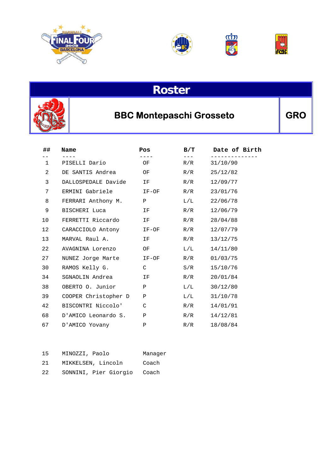









### BBC Montepaschi Grosseto **GRO**

| ##           | Name                 | Pos          | B/T | Date of Birth |
|--------------|----------------------|--------------|-----|---------------|
| $\mathbf{1}$ | PISELLI Dario        | OF           | R/R | 31/10/90      |
| 2            | DE SANTIS Andrea     | OF           | R/R | 25/12/82      |
| 3            | DALLOSPEDALE Davide  | IF           | R/R | 12/09/77      |
| 7            | ERMINI Gabriele      | IF-OF        | R/R | 23/01/76      |
| 8            | FERRARI Anthony M.   | $\mathbf{P}$ | L/L | 22/06/78      |
| 9            | BISCHERI Luca        | IF           | R/R | 12/06/79      |
| 10           | FERRETTI Riccardo    | IF           | R/R | 28/04/88      |
| 12           | CARACCIOLO Antony    | IF-OF        | R/R | 12/07/79      |
| 13           | MARVAL Raul A.       | IF           | R/R | 13/12/75      |
| 22           | AVAGNINA Lorenzo     | OF           | L/L | 14/11/80      |
| 27           | NUNEZ Jorge Marte    | IF-OF        | R/R | 01/03/75      |
| 30           | RAMOS Kelly G.       | C            | S/R | 15/10/76      |
| 34           | SGNAOLIN Andrea      | IF.          | R/R | 20/01/84      |
| 38           | OBERTO O. Junior     | Ρ            | L/L | 30/12/80      |
| 39           | COOPER Christopher D | Ρ            | L/L | 31/10/78      |
| 42           | BISCONTRI Niccolo'   | C            | R/R | 14/01/91      |
| 68           | D'AMICO Leonardo S.  | Ρ            | R/R | 14/12/81      |
| 67           | D'AMICO Yovany       | Ρ            | R/R | 18/08/84      |

| 15               | MINOZZI, Paolo              | Manager |
|------------------|-----------------------------|---------|
| 2.1              | MIKKELSEN, Lincoln          | Coach   |
| 2.2 <sub>1</sub> | SONNINI, Pier Giorgio Coach |         |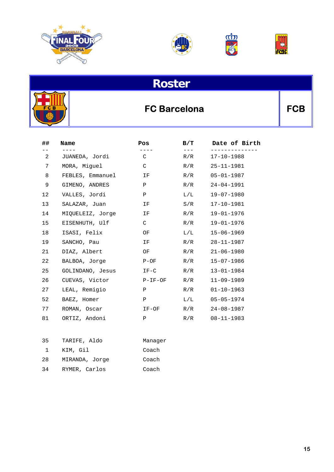







### FC Barcelona **FCB**

| ## | Name             | Pos          | B/T       | Date of Birth            |
|----|------------------|--------------|-----------|--------------------------|
| 2  | JUANEDA, Jordi   | $\mathsf{C}$ | R/R       | ----------<br>17-10-1988 |
| 7  | MORA, Miquel     | C            | R/R       | $25 - 11 - 1981$         |
| 8  | FEBLES, Emmanuel | IF           | R/R       | $05 - 01 - 1987$         |
| 9  | GIMENO, ANDRES   | $\mathbf{P}$ | R/R       | 24-04-1991               |
| 12 | VALLES, Jordi    | $\mathbf{P}$ | $\rm L/L$ | 19-07-1980               |
| 13 | SALAZAR, Juan    | IF.          | S/R       | $17 - 10 - 1981$         |
| 14 | MIOUELEIZ, Jorge | IF           | R/R       | $19 - 01 - 1976$         |
| 15 | EISENHUTH, Ulf   | $\mathsf{C}$ | R/R       | 19-01-1976               |
| 18 | ISASI, Felix     | OF           | $\rm L/L$ | $15 - 06 - 1969$         |
| 19 | SANCHO, Pau      | IF           | R/R       | $28 - 11 - 1987$         |
| 21 | DIAZ, Albert     | OF           | R/R       | $21 - 06 - 1980$         |
| 22 | BALBOA, Jorge    | $P-OF$       | R/R       | $15 - 07 - 1986$         |
| 25 | GOLINDANO, Jesus | $IF-C$       | R/R       | $13 - 01 - 1984$         |
| 26 | CUEVAS, Victor   | P-IF-OF      | R/R       | $11 - 09 - 1989$         |
| 27 | LEAL, Remigio    | P            | R/R       | $01 - 10 - 1963$         |
| 52 | BAEZ, Homer      | $\mathbf{P}$ | $\rm L/L$ | $05 - 05 - 1974$         |
| 77 | ROMAN, Oscar     | IF-OF        | R/R       | $24 - 08 - 1987$         |
| 81 | ORTIZ, Andoni    | $\mathbf{P}$ | R/R       | 08-11-1983               |

| 35 | TARIFE, Aldo   | Manager |
|----|----------------|---------|
|    | KIM, Gil       | Coach   |
| 28 | MIRANDA, Jorge | Coach   |
| 34 | RYMER, Carlos  | Coach   |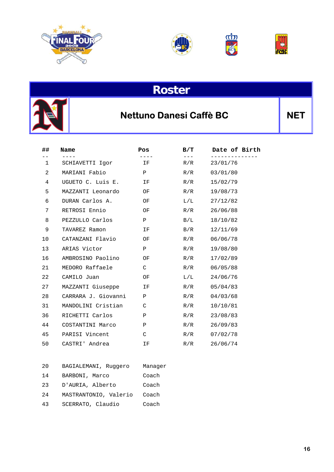







### **Nettuno Danesi Caffè BC** NET

| ##           | Name                | Pos          | B/T       | Date of Birth |
|--------------|---------------------|--------------|-----------|---------------|
| $\mathbf{1}$ | SCHIAVETTI Igor     | IF           | R/R       | 23/01/76      |
| 2            | MARIANI Fabio       | $\mathbf{P}$ | R/R       | 03/01/80      |
| 4            | UGUETO C. Luis E.   | IF           | R/R       | 15/02/79      |
| 5            | MAZZANTI Leonardo   | OF           | R/R       | 19/08/73      |
| 6            | DURAN Carlos A.     | OF           | $\rm L/L$ | 27/12/82      |
| 7            | RETROSI Ennio       | OF           | R/R       | 26/06/88      |
| 8            | PEZZULLO Carlos     | $\mathbf{P}$ | B/L       | 18/10/82      |
| 9            | TAVAREZ Ramon       | IF           | B/R       | 12/11/69      |
| 10           | CATANZANI Flavio    | OF           | R/R       | 06/06/78      |
| 13           | ARIAS Victor        | P            | R/R       | 19/08/80      |
| 16           | AMBROSINO Paolino   | OF           | R/R       | 17/02/89      |
| 21           | MEDORO Raffaele     | C            | R/R       | 06/05/88      |
| 22           | CAMILO Juan         | OF           | $\rm L/L$ | 24/06/76      |
| 27           | MAZZANTI Giuseppe   | IF           | R/R       | 05/04/83      |
| 28           | CARRARA J. Giovanni | $\mathbf{P}$ | R/R       | 04/03/68      |
| 31           | MANDOLINI Cristian  | C            | R/R       | 10/10/81      |
| 36           | RICHETTI Carlos     | Ρ            | R/R       | 23/08/83      |
| 44           | COSTANTINI Marco    | Ρ            | R/R       | 26/09/83      |
| 45           | PARISI Vincent      | C            | R/R       | 07/02/78      |
| 50           | CASTRI' Andrea      | ΙF           | R/R       | 26/06/74      |

| 20  | BAGIALEMANI, Ruqqero  | Manager |
|-----|-----------------------|---------|
| 14  | BARBONI, Marco        | Coach   |
| 23  | D'AURIA, Alberto      | Coach   |
| 2.4 | MASTRANTONIO, Valerio | Coach   |
| 43  | SCERRATO, Claudio     | Coach   |